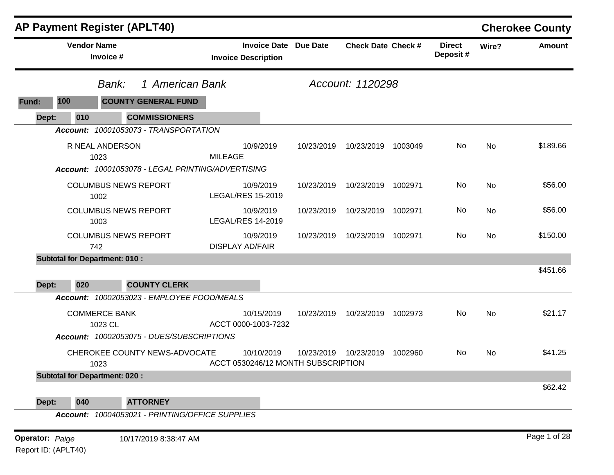|       | <b>AP Payment Register (APLT40)</b>  |                                    |                                                   |                                    |                     |            |                           |         |                           |           | <b>Cherokee County</b> |
|-------|--------------------------------------|------------------------------------|---------------------------------------------------|------------------------------------|---------------------|------------|---------------------------|---------|---------------------------|-----------|------------------------|
|       |                                      | <b>Vendor Name</b><br>Invoice #    |                                                   | <b>Invoice Description</b>         | <b>Invoice Date</b> | Due Date   | <b>Check Date Check #</b> |         | <b>Direct</b><br>Deposit# | Wire?     | <b>Amount</b>          |
|       |                                      | Bank:                              | 1 American Bank                                   |                                    |                     |            | Account: 1120298          |         |                           |           |                        |
| Fund: | 100                                  |                                    | <b>COUNTY GENERAL FUND</b>                        |                                    |                     |            |                           |         |                           |           |                        |
| Dept: | 010                                  |                                    | <b>COMMISSIONERS</b>                              |                                    |                     |            |                           |         |                           |           |                        |
|       |                                      |                                    | Account: 10001053073 - TRANSPORTATION             |                                    |                     |            |                           |         |                           |           |                        |
|       |                                      | R NEAL ANDERSON                    |                                                   |                                    | 10/9/2019           | 10/23/2019 | 10/23/2019                | 1003049 | No                        | <b>No</b> | \$189.66               |
|       |                                      | 1023                               |                                                   | <b>MILEAGE</b>                     |                     |            |                           |         |                           |           |                        |
|       |                                      |                                    | Account: 10001053078 - LEGAL PRINTING/ADVERTISING |                                    |                     |            |                           |         |                           |           |                        |
|       |                                      | <b>COLUMBUS NEWS REPORT</b>        |                                                   |                                    | 10/9/2019           | 10/23/2019 | 10/23/2019                | 1002971 | No.                       | <b>No</b> | \$56.00                |
|       |                                      | 1002                               |                                                   | <b>LEGAL/RES 15-2019</b>           |                     |            |                           |         |                           |           |                        |
|       |                                      | <b>COLUMBUS NEWS REPORT</b>        |                                                   |                                    | 10/9/2019           | 10/23/2019 | 10/23/2019                | 1002971 | No.                       | <b>No</b> | \$56.00                |
|       |                                      | 1003                               |                                                   | <b>LEGAL/RES 14-2019</b>           |                     |            |                           |         |                           |           |                        |
|       |                                      | <b>COLUMBUS NEWS REPORT</b><br>742 |                                                   | <b>DISPLAY AD/FAIR</b>             | 10/9/2019           | 10/23/2019 | 10/23/2019                | 1002971 | No                        | <b>No</b> | \$150.00               |
|       | <b>Subtotal for Department: 010:</b> |                                    |                                                   |                                    |                     |            |                           |         |                           |           |                        |
|       |                                      |                                    |                                                   |                                    |                     |            |                           |         |                           |           | \$451.66               |
| Dept: | 020                                  |                                    | <b>COUNTY CLERK</b>                               |                                    |                     |            |                           |         |                           |           |                        |
|       |                                      |                                    | Account: 10002053023 - EMPLOYEE FOOD/MEALS        |                                    |                     |            |                           |         |                           |           |                        |
|       |                                      | <b>COMMERCE BANK</b>               |                                                   |                                    | 10/15/2019          | 10/23/2019 | 10/23/2019                | 1002973 | <b>No</b>                 | <b>No</b> | \$21.17                |
|       |                                      | 1023 CL                            |                                                   | ACCT 0000-1003-7232                |                     |            |                           |         |                           |           |                        |
|       |                                      |                                    | Account: 10002053075 - DUES/SUBSCRIPTIONS         |                                    |                     |            |                           |         |                           |           |                        |
|       |                                      |                                    | CHEROKEE COUNTY NEWS-ADVOCATE                     |                                    | 10/10/2019          | 10/23/2019 | 10/23/2019                | 1002960 | No.                       | <b>No</b> | \$41.25                |
|       |                                      | 1023                               |                                                   | ACCT 0530246/12 MONTH SUBSCRIPTION |                     |            |                           |         |                           |           |                        |
|       | <b>Subtotal for Department: 020:</b> |                                    |                                                   |                                    |                     |            |                           |         |                           |           |                        |
|       |                                      |                                    |                                                   |                                    |                     |            |                           |         |                           |           | \$62.42                |
| Dept: | 040                                  |                                    | <b>ATTORNEY</b>                                   |                                    |                     |            |                           |         |                           |           |                        |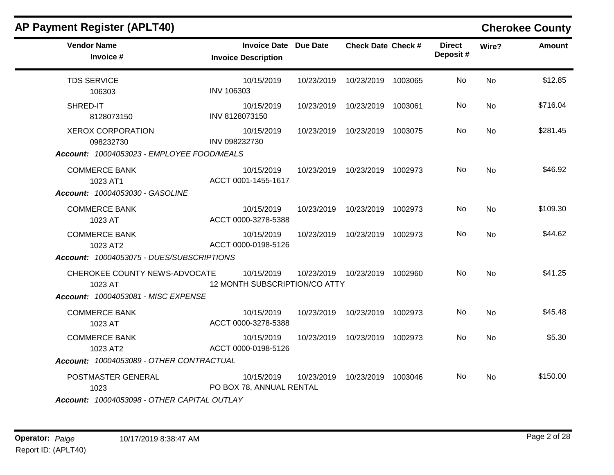| <b>AP Payment Register (APLT40)</b>                                                 |                                                     |            |                                 |         |                           |           | <b>Cherokee County</b> |
|-------------------------------------------------------------------------------------|-----------------------------------------------------|------------|---------------------------------|---------|---------------------------|-----------|------------------------|
| <b>Vendor Name</b><br>Invoice #                                                     | Invoice Date Due Date<br><b>Invoice Description</b> |            | <b>Check Date Check #</b>       |         | <b>Direct</b><br>Deposit# | Wire?     | <b>Amount</b>          |
| <b>TDS SERVICE</b><br>106303                                                        | 10/15/2019<br>INV 106303                            | 10/23/2019 | 10/23/2019 1003065              |         | No.                       | <b>No</b> | \$12.85                |
| SHRED-IT<br>8128073150                                                              | 10/15/2019<br>INV 8128073150                        | 10/23/2019 | 10/23/2019                      | 1003061 | No.                       | No        | \$716.04               |
| <b>XEROX CORPORATION</b><br>098232730<br>Account: 10004053023 - EMPLOYEE FOOD/MEALS | 10/15/2019<br>INV 098232730                         |            | 10/23/2019  10/23/2019  1003075 |         | No.                       | <b>No</b> | \$281.45               |
| <b>COMMERCE BANK</b><br>1023 AT1<br>Account: 10004053030 - GASOLINE                 | 10/15/2019<br>ACCT 0001-1455-1617                   | 10/23/2019 | 10/23/2019 1002973              |         | No.                       | <b>No</b> | \$46.92                |
| <b>COMMERCE BANK</b><br>1023 AT                                                     | 10/15/2019<br>ACCT 0000-3278-5388                   | 10/23/2019 | 10/23/2019 1002973              |         | No                        | <b>No</b> | \$109.30               |
| <b>COMMERCE BANK</b><br>1023 AT2<br>Account: 10004053075 - DUES/SUBSCRIPTIONS       | 10/15/2019<br>ACCT 0000-0198-5126                   | 10/23/2019 | 10/23/2019 1002973              |         | No.                       | <b>No</b> | \$44.62                |
| CHEROKEE COUNTY NEWS-ADVOCATE<br>1023 AT<br>Account: 10004053081 - MISC EXPENSE     | 10/15/2019<br>12 MONTH SUBSCRIPTION/CO ATTY         | 10/23/2019 | 10/23/2019 1002960              |         | <b>No</b>                 | <b>No</b> | \$41.25                |
| <b>COMMERCE BANK</b><br>1023 AT                                                     | 10/15/2019<br>ACCT 0000-3278-5388                   | 10/23/2019 | 10/23/2019 1002973              |         | <b>No</b>                 | <b>No</b> | \$45.48                |
| <b>COMMERCE BANK</b><br>1023 AT2<br>Account: 10004053089 - OTHER CONTRACTUAL        | 10/15/2019<br>ACCT 0000-0198-5126                   | 10/23/2019 | 10/23/2019 1002973              |         | No.                       | <b>No</b> | \$5.30                 |
| POSTMASTER GENERAL<br>1023                                                          | 10/15/2019<br>PO BOX 78, ANNUAL RENTAL              | 10/23/2019 | 10/23/2019 1003046              |         | No.                       | <b>No</b> | \$150.00               |
| Account: 10004053098 - OTHER CAPITAL OUTLAY                                         |                                                     |            |                                 |         |                           |           |                        |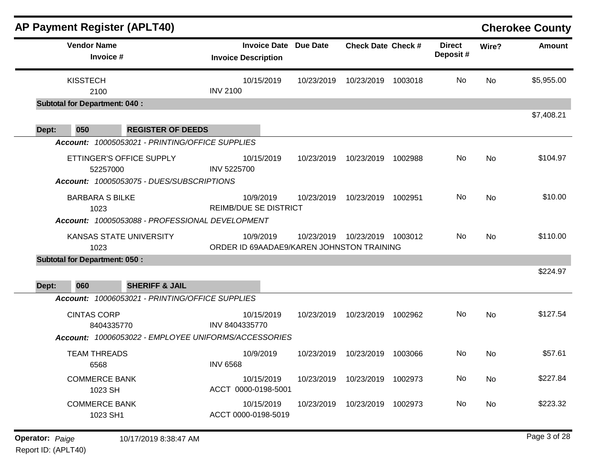|       |                                      |                                                                              | <b>Invoice Description</b>                             | <b>Invoice Date</b><br><b>Due Date</b> | <b>Check Date Check #</b> |         | <b>Direct</b><br>Deposit# | Wire? | <b>Amount</b> |
|-------|--------------------------------------|------------------------------------------------------------------------------|--------------------------------------------------------|----------------------------------------|---------------------------|---------|---------------------------|-------|---------------|
|       |                                      |                                                                              |                                                        |                                        |                           |         |                           |       |               |
|       | <b>KISSTECH</b><br>2100              |                                                                              | 10/15/2019<br><b>INV 2100</b>                          | 10/23/2019                             | 10/23/2019                | 1003018 | No                        | No    | \$5,955.00    |
|       | <b>Subtotal for Department: 040:</b> |                                                                              |                                                        |                                        |                           |         |                           |       |               |
|       | 050                                  | <b>REGISTER OF DEEDS</b>                                                     |                                                        |                                        |                           |         |                           |       | \$7,408.21    |
| Dept: |                                      | Account: 10005053021 - PRINTING/OFFICE SUPPLIES                              |                                                        |                                        |                           |         |                           |       |               |
|       | ETTINGER'S OFFICE SUPPLY<br>52257000 |                                                                              | 10/15/2019<br>INV 5225700                              | 10/23/2019                             | 10/23/2019                | 1002988 | No                        | No    | \$104.97      |
|       |                                      | Account: 10005053075 - DUES/SUBSCRIPTIONS                                    |                                                        |                                        |                           |         |                           |       |               |
|       | <b>BARBARA S BILKE</b><br>1023       |                                                                              | 10/9/2019<br><b>REIMB/DUE SE DISTRICT</b>              | 10/23/2019                             | 10/23/2019                | 1002951 | No.                       | No    | \$10.00       |
|       |                                      | Account: 10005053088 - PROFESSIONAL DEVELOPMENT                              |                                                        |                                        |                           |         |                           |       |               |
|       | KANSAS STATE UNIVERSITY<br>1023      |                                                                              | 10/9/2019<br>ORDER ID 69AADAE9/KAREN JOHNSTON TRAINING | 10/23/2019                             | 10/23/2019                | 1003012 | No                        | No    | \$110.00      |
|       | <b>Subtotal for Department: 050:</b> |                                                                              |                                                        |                                        |                           |         |                           |       |               |
|       |                                      |                                                                              |                                                        |                                        |                           |         |                           |       | \$224.97      |
| Dept: | 060                                  | <b>SHERIFF &amp; JAIL</b><br>Account: 10006053021 - PRINTING/OFFICE SUPPLIES |                                                        |                                        |                           |         |                           |       |               |
|       | <b>CINTAS CORP</b><br>8404335770     |                                                                              | 10/15/2019<br>INV 8404335770                           | 10/23/2019                             | 10/23/2019                | 1002962 | No                        | No    | \$127.54      |
|       |                                      | Account: 10006053022 - EMPLOYEE UNIFORMS/ACCESSORIES                         |                                                        |                                        |                           |         |                           |       |               |
|       | <b>TEAM THREADS</b><br>6568          |                                                                              | 10/9/2019<br><b>INV 6568</b>                           | 10/23/2019                             | 10/23/2019                | 1003066 | <b>No</b>                 | No    | \$57.61       |
|       | <b>COMMERCE BANK</b><br>1023 SH      |                                                                              | 10/15/2019<br>ACCT 0000-0198-5001                      | 10/23/2019                             | 10/23/2019                | 1002973 | No                        | No    | \$227.84      |
|       | <b>COMMERCE BANK</b><br>1023 SH1     |                                                                              | 10/15/2019<br>ACCT 0000-0198-5019                      | 10/23/2019                             | 10/23/2019                | 1002973 | No                        | No    | \$223.32      |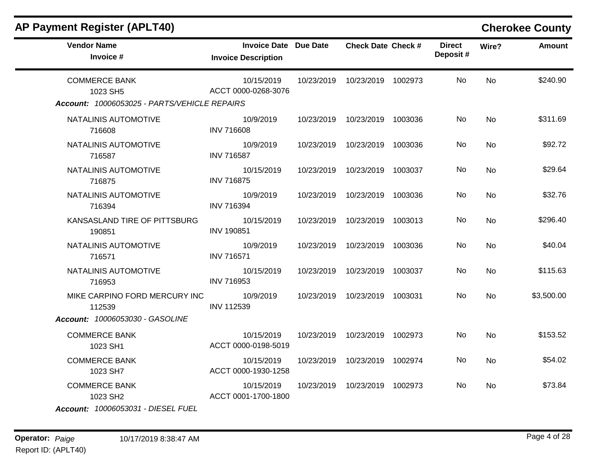| AP Payment Register (APLT40)                                                     |                                                     |            |                           |         |                           |                | <b>Cherokee County</b> |
|----------------------------------------------------------------------------------|-----------------------------------------------------|------------|---------------------------|---------|---------------------------|----------------|------------------------|
| <b>Vendor Name</b><br>Invoice #                                                  | Invoice Date Due Date<br><b>Invoice Description</b> |            | <b>Check Date Check #</b> |         | <b>Direct</b><br>Deposit# | Wire?          | <b>Amount</b>          |
| <b>COMMERCE BANK</b><br>1023 SH5<br>Account: 10006053025 - PARTS/VEHICLE REPAIRS | 10/15/2019<br>ACCT 0000-0268-3076                   | 10/23/2019 | 10/23/2019 1002973        |         | No.                       | N <sub>0</sub> | \$240.90               |
| NATALINIS AUTOMOTIVE<br>716608                                                   | 10/9/2019<br><b>INV 716608</b>                      | 10/23/2019 | 10/23/2019 1003036        |         | No                        | <b>No</b>      | \$311.69               |
| NATALINIS AUTOMOTIVE<br>716587                                                   | 10/9/2019<br><b>INV 716587</b>                      | 10/23/2019 | 10/23/2019 1003036        |         | No.                       | No             | \$92.72                |
| NATALINIS AUTOMOTIVE<br>716875                                                   | 10/15/2019<br><b>INV 716875</b>                     | 10/23/2019 | 10/23/2019 1003037        |         | No                        | <b>No</b>      | \$29.64                |
| NATALINIS AUTOMOTIVE<br>716394                                                   | 10/9/2019<br><b>INV 716394</b>                      | 10/23/2019 | 10/23/2019 1003036        |         | No.                       | No.            | \$32.76                |
| KANSASLAND TIRE OF PITTSBURG<br>190851                                           | 10/15/2019<br><b>INV 190851</b>                     | 10/23/2019 | 10/23/2019 1003013        |         | No                        | <b>No</b>      | \$296.40               |
| NATALINIS AUTOMOTIVE<br>716571                                                   | 10/9/2019<br><b>INV 716571</b>                      | 10/23/2019 | 10/23/2019                | 1003036 | No.                       | <b>No</b>      | \$40.04                |
| NATALINIS AUTOMOTIVE<br>716953                                                   | 10/15/2019<br><b>INV 716953</b>                     | 10/23/2019 | 10/23/2019 1003037        |         | No.                       | No             | \$115.63               |
| MIKE CARPINO FORD MERCURY INC<br>112539                                          | 10/9/2019<br><b>INV 112539</b>                      | 10/23/2019 | 10/23/2019 1003031        |         | No                        | No             | \$3,500.00             |
| Account: 10006053030 - GASOLINE                                                  |                                                     |            |                           |         |                           |                |                        |
| <b>COMMERCE BANK</b><br>1023 SH1                                                 | 10/15/2019<br>ACCT 0000-0198-5019                   | 10/23/2019 | 10/23/2019 1002973        |         | No.                       | No             | \$153.52               |
| <b>COMMERCE BANK</b><br>1023 SH7                                                 | 10/15/2019<br>ACCT 0000-1930-1258                   | 10/23/2019 | 10/23/2019 1002974        |         | No                        | No.            | \$54.02                |
| <b>COMMERCE BANK</b><br>1023 SH2<br>Account: 10006053031 - DIESEL FUEL           | 10/15/2019<br>ACCT 0001-1700-1800                   | 10/23/2019 | 10/23/2019 1002973        |         | No.                       | No.            | \$73.84                |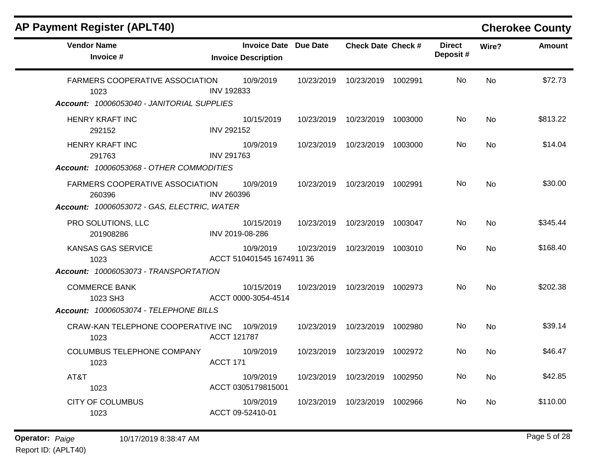| <b>AP Payment Register (APLT40)</b>                                                          |                                                            |            |                                 |         |                           |           | <b>Cherokee County</b> |
|----------------------------------------------------------------------------------------------|------------------------------------------------------------|------------|---------------------------------|---------|---------------------------|-----------|------------------------|
| <b>Vendor Name</b><br>Invoice #                                                              | <b>Invoice Date Due Date</b><br><b>Invoice Description</b> |            | <b>Check Date Check #</b>       |         | <b>Direct</b><br>Deposit# | Wire?     | <b>Amount</b>          |
| <b>FARMERS COOPERATIVE ASSOCIATION</b><br>1023<br>Account: 10006053040 - JANITORIAL SUPPLIES | 10/9/2019<br><b>INV 192833</b>                             | 10/23/2019 | 10/23/2019 1002991              |         | No                        | <b>No</b> | \$72.73                |
|                                                                                              |                                                            |            |                                 |         |                           |           |                        |
| HENRY KRAFT INC<br>292152                                                                    | 10/15/2019<br><b>INV 292152</b>                            | 10/23/2019 | 10/23/2019 1003000              |         | No                        | <b>No</b> | \$813.22               |
| <b>HENRY KRAFT INC</b><br>291763                                                             | 10/9/2019<br><b>INV 291763</b>                             | 10/23/2019 | 10/23/2019 1003000              |         | No.                       | <b>No</b> | \$14.04                |
| Account: 10006053068 - OTHER COMMODITIES                                                     |                                                            |            |                                 |         |                           |           |                        |
| FARMERS COOPERATIVE ASSOCIATION<br>260396                                                    | 10/9/2019<br><b>INV 260396</b>                             |            | 10/23/2019  10/23/2019  1002991 |         | No                        | No        | \$30.00                |
| Account: 10006053072 - GAS, ELECTRIC, WATER                                                  |                                                            |            |                                 |         |                           |           |                        |
| PRO SOLUTIONS, LLC<br>201908286                                                              | 10/15/2019<br>INV 2019-08-286                              |            | 10/23/2019  10/23/2019  1003047 |         | No.                       | No.       | \$345.44               |
| <b>KANSAS GAS SERVICE</b><br>1023                                                            | 10/9/2019<br>ACCT 510401545 1674911 36                     | 10/23/2019 | 10/23/2019 1003010              |         | No.                       | No        | \$168.40               |
| Account: 10006053073 - TRANSPORTATION                                                        |                                                            |            |                                 |         |                           |           |                        |
| <b>COMMERCE BANK</b><br>1023 SH3                                                             | 10/15/2019<br>ACCT 0000-3054-4514                          |            | 10/23/2019  10/23/2019  1002973 |         | No.                       | <b>No</b> | \$202.38               |
| Account: 10006053074 - TELEPHONE BILLS                                                       |                                                            |            |                                 |         |                           |           |                        |
| CRAW-KAN TELEPHONE COOPERATIVE INC<br>1023                                                   | 10/9/2019<br>ACCT 121787                                   | 10/23/2019 | 10/23/2019 1002980              |         | No.                       | <b>No</b> | \$39.14                |
| COLUMBUS TELEPHONE COMPANY<br>1023                                                           | 10/9/2019<br><b>ACCT 171</b>                               | 10/23/2019 | 10/23/2019 1002972              |         | No.                       | No        | \$46.47                |
| AT&T<br>1023                                                                                 | 10/9/2019<br>ACCT 0305179815001                            | 10/23/2019 | 10/23/2019                      | 1002950 | No.                       | <b>No</b> | \$42.85                |
| <b>CITY OF COLUMBUS</b><br>1023                                                              | 10/9/2019<br>ACCT 09-52410-01                              | 10/23/2019 | 10/23/2019 1002966              |         | No.                       | No.       | \$110.00               |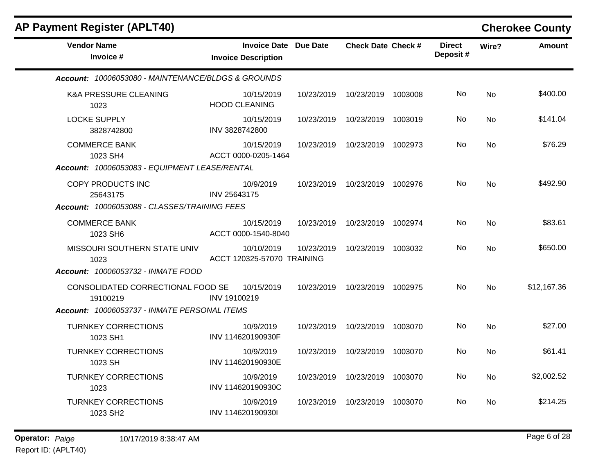| <b>AP Payment Register (APLT40)</b>                                                           |                                                     |            |                           |         |                           |           | <b>Cherokee County</b> |
|-----------------------------------------------------------------------------------------------|-----------------------------------------------------|------------|---------------------------|---------|---------------------------|-----------|------------------------|
| <b>Vendor Name</b><br>Invoice #                                                               | Invoice Date Due Date<br><b>Invoice Description</b> |            | <b>Check Date Check #</b> |         | <b>Direct</b><br>Deposit# | Wire?     | <b>Amount</b>          |
| Account: 10006053080 - MAINTENANCE/BLDGS & GROUNDS                                            |                                                     |            |                           |         |                           |           |                        |
| <b>K&amp;A PRESSURE CLEANING</b><br>1023                                                      | 10/15/2019<br><b>HOOD CLEANING</b>                  | 10/23/2019 | 10/23/2019                | 1003008 | No.                       | No        | \$400.00               |
| <b>LOCKE SUPPLY</b><br>3828742800                                                             | 10/15/2019<br>INV 3828742800                        | 10/23/2019 | 10/23/2019                | 1003019 | No.                       | <b>No</b> | \$141.04               |
| <b>COMMERCE BANK</b><br>1023 SH4<br>Account: 10006053083 - EQUIPMENT LEASE/RENTAL             | 10/15/2019<br>ACCT 0000-0205-1464                   | 10/23/2019 | 10/23/2019                | 1002973 | No.                       | No        | \$76.29                |
| COPY PRODUCTS INC<br>25643175<br>Account: 10006053088 - CLASSES/TRAINING FEES                 | 10/9/2019<br>INV 25643175                           | 10/23/2019 | 10/23/2019 1002976        |         | No.                       | <b>No</b> | \$492.90               |
| <b>COMMERCE BANK</b><br>1023 SH6                                                              | 10/15/2019<br>ACCT 0000-1540-8040                   | 10/23/2019 | 10/23/2019 1002974        |         | No.                       | <b>No</b> | \$83.61                |
| MISSOURI SOUTHERN STATE UNIV<br>1023<br>Account: 10006053732 - INMATE FOOD                    | 10/10/2019<br>ACCT 120325-57070 TRAINING            | 10/23/2019 | 10/23/2019                | 1003032 | No.                       | <b>No</b> | \$650.00               |
| CONSOLIDATED CORRECTIONAL FOOD SE<br>19100219<br>Account: 10006053737 - INMATE PERSONAL ITEMS | 10/15/2019<br>INV 19100219                          | 10/23/2019 | 10/23/2019 1002975        |         | No.                       | <b>No</b> | \$12,167.36            |
| <b>TURNKEY CORRECTIONS</b><br>1023 SH1                                                        | 10/9/2019<br>INV 114620190930F                      | 10/23/2019 | 10/23/2019                | 1003070 | No.                       | <b>No</b> | \$27.00                |
| <b>TURNKEY CORRECTIONS</b><br>1023 SH                                                         | 10/9/2019<br>INV 114620190930E                      | 10/23/2019 | 10/23/2019                | 1003070 | No                        | No        | \$61.41                |
| <b>TURNKEY CORRECTIONS</b><br>1023                                                            | 10/9/2019<br>INV 114620190930C                      | 10/23/2019 | 10/23/2019                | 1003070 | No.                       | <b>No</b> | \$2,002.52             |
| <b>TURNKEY CORRECTIONS</b><br>1023 SH2                                                        | 10/9/2019<br>INV 114620190930I                      | 10/23/2019 | 10/23/2019                | 1003070 | No.                       | No        | \$214.25               |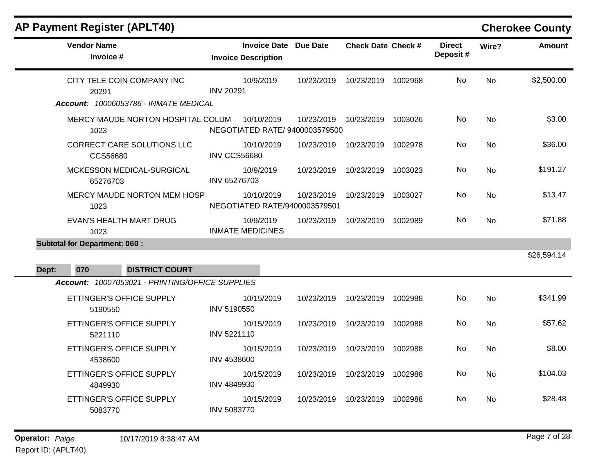# **AP Payment Register (APLT40) Cherokee County**

| <b>Vendor Name</b><br>Invoice #                 |                     | <b>Invoice Date Due Date</b><br><b>Invoice Description</b> |            | <b>Check Date Check #</b> |         | <b>Direct</b><br>Deposit# | Wire?          | <b>Amount</b> |
|-------------------------------------------------|---------------------|------------------------------------------------------------|------------|---------------------------|---------|---------------------------|----------------|---------------|
| CITY TELE COIN COMPANY INC<br>20291             | <b>INV 20291</b>    | 10/9/2019                                                  | 10/23/2019 | 10/23/2019 1002968        |         | No.                       | <b>No</b>      | \$2,500.00    |
| Account: 10006053786 - INMATE MEDICAL           |                     |                                                            |            |                           |         |                           |                |               |
| MERCY MAUDE NORTON HOSPITAL COLUM<br>1023       |                     | 10/10/2019<br>NEGOTIATED RATE/ 9400003579500               | 10/23/2019 | 10/23/2019 1003026        |         | No                        | <b>No</b>      | \$3.00        |
| <b>CORRECT CARE SOLUTIONS LLC</b><br>CCS56680   | <b>INV CCS56680</b> | 10/10/2019                                                 | 10/23/2019 | 10/23/2019                | 1002978 | No.                       | N <sub>o</sub> | \$36.00       |
| MCKESSON MEDICAL-SURGICAL<br>65276703           | INV 65276703        | 10/9/2019                                                  | 10/23/2019 | 10/23/2019                | 1003023 | No                        | No             | \$191.27      |
| MERCY MAUDE NORTON MEM HOSP<br>1023             |                     | 10/10/2019<br>NEGOTIATED RATE/9400003579501                | 10/23/2019 | 10/23/2019 1003027        |         | No                        | No             | \$13.47       |
| <b>EVAN'S HEALTH MART DRUG</b><br>1023          |                     | 10/9/2019<br><b>INMATE MEDICINES</b>                       | 10/23/2019 | 10/23/2019 1002989        |         | No.                       | No             | \$71.88       |
| <b>Subtotal for Department: 060:</b>            |                     |                                                            |            |                           |         |                           |                |               |
|                                                 |                     |                                                            |            |                           |         |                           |                | \$26,594.14   |
| 070<br><b>DISTRICT COURT</b><br>Dept:           |                     |                                                            |            |                           |         |                           |                |               |
| Account: 10007053021 - PRINTING/OFFICE SUPPLIES |                     |                                                            |            |                           |         |                           |                |               |
|                                                 |                     |                                                            |            |                           |         |                           |                |               |
| ETTINGER'S OFFICE SUPPLY<br>5190550             | INV 5190550         | 10/15/2019                                                 | 10/23/2019 | 10/23/2019 1002988        |         | No                        | <b>No</b>      | \$341.99      |
| ETTINGER'S OFFICE SUPPLY<br>5221110             | INV 5221110         | 10/15/2019                                                 | 10/23/2019 | 10/23/2019                | 1002988 | No                        | <b>No</b>      | \$57.62       |
| ETTINGER'S OFFICE SUPPLY<br>4538600             | <b>INV 4538600</b>  | 10/15/2019                                                 | 10/23/2019 | 10/23/2019 1002988        |         | No                        | <b>No</b>      | \$8.00        |
| ETTINGER'S OFFICE SUPPLY<br>4849930             | INV 4849930         | 10/15/2019                                                 | 10/23/2019 | 10/23/2019                | 1002988 | No                        | <b>No</b>      | \$104.03      |
| ETTINGER'S OFFICE SUPPLY<br>5083770             | <b>INV 5083770</b>  | 10/15/2019                                                 | 10/23/2019 | 10/23/2019                | 1002988 | No                        | No             | \$28.48       |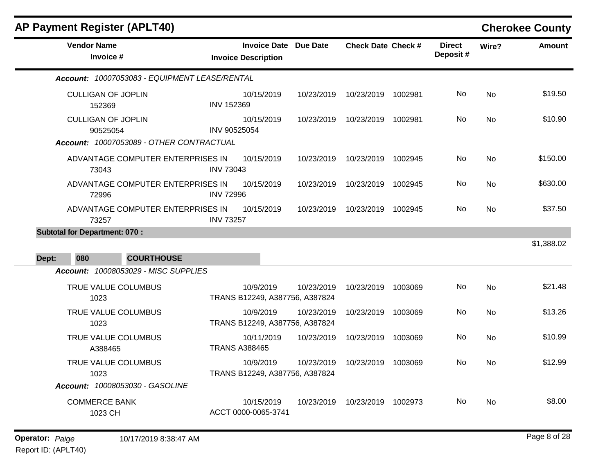|       | <b>AP Payment Register (APLT40)</b>                                               |                                                            |            |                           |         |                           |           | <b>Cherokee County</b> |
|-------|-----------------------------------------------------------------------------------|------------------------------------------------------------|------------|---------------------------|---------|---------------------------|-----------|------------------------|
|       | <b>Vendor Name</b><br>Invoice #                                                   | <b>Invoice Date Due Date</b><br><b>Invoice Description</b> |            | <b>Check Date Check #</b> |         | <b>Direct</b><br>Deposit# | Wire?     | <b>Amount</b>          |
|       | Account: 10007053083 - EQUIPMENT LEASE/RENTAL                                     |                                                            |            |                           |         |                           |           |                        |
|       | <b>CULLIGAN OF JOPLIN</b><br>152369                                               | 10/15/2019<br><b>INV 152369</b>                            | 10/23/2019 | 10/23/2019                | 1002981 | <b>No</b>                 | No        | \$19.50                |
|       | <b>CULLIGAN OF JOPLIN</b><br>90525054<br>Account: 10007053089 - OTHER CONTRACTUAL | 10/15/2019<br>INV 90525054                                 | 10/23/2019 | 10/23/2019                | 1002981 | No                        | <b>No</b> | \$10.90                |
|       | ADVANTAGE COMPUTER ENTERPRISES IN<br>73043                                        | 10/15/2019<br><b>INV 73043</b>                             | 10/23/2019 | 10/23/2019                | 1002945 | No                        | <b>No</b> | \$150.00               |
|       | ADVANTAGE COMPUTER ENTERPRISES IN<br>72996                                        | 10/15/2019<br><b>INV 72996</b>                             | 10/23/2019 | 10/23/2019                | 1002945 | No.                       | <b>No</b> | \$630.00               |
|       | ADVANTAGE COMPUTER ENTERPRISES IN<br>73257                                        | 10/15/2019<br><b>INV 73257</b>                             | 10/23/2019 | 10/23/2019                | 1002945 | No                        | <b>No</b> | \$37.50                |
|       | <b>Subtotal for Department: 070:</b>                                              |                                                            |            |                           |         |                           |           |                        |
| Dept: | 080<br><b>COURTHOUSE</b>                                                          |                                                            |            |                           |         |                           |           | \$1,388.02             |
|       | Account: 10008053029 - MISC SUPPLIES                                              |                                                            |            |                           |         |                           |           |                        |
|       | TRUE VALUE COLUMBUS<br>1023                                                       | 10/9/2019<br>TRANS B12249, A387756, A387824                | 10/23/2019 | 10/23/2019                | 1003069 | No.                       | <b>No</b> | \$21.48                |
|       | TRUE VALUE COLUMBUS<br>1023                                                       | 10/9/2019<br>TRANS B12249, A387756, A387824                | 10/23/2019 | 10/23/2019                | 1003069 | No                        | <b>No</b> | \$13.26                |
|       | TRUE VALUE COLUMBUS<br>A388465                                                    | 10/11/2019<br><b>TRANS A388465</b>                         | 10/23/2019 | 10/23/2019                | 1003069 | No.                       | <b>No</b> | \$10.99                |
|       | TRUE VALUE COLUMBUS<br>1023                                                       | 10/9/2019<br>TRANS B12249, A387756, A387824                | 10/23/2019 | 10/23/2019                | 1003069 | No                        | No        | \$12.99                |
|       | <b>Account: 10008053030 - GASOLINE</b>                                            |                                                            |            |                           |         |                           |           |                        |
|       | <b>COMMERCE BANK</b><br>1023 CH                                                   | 10/15/2019<br>ACCT 0000-0065-3741                          | 10/23/2019 | 10/23/2019                | 1002973 | No.                       | <b>No</b> | \$8.00                 |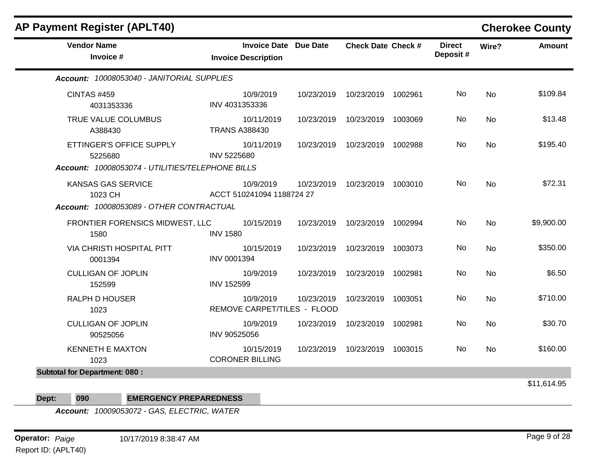| <b>AP Payment Register (APLT40)</b>              |                                                     |            |                           |         |                           |           | <b>Cherokee County</b> |
|--------------------------------------------------|-----------------------------------------------------|------------|---------------------------|---------|---------------------------|-----------|------------------------|
| <b>Vendor Name</b><br>Invoice #                  | Invoice Date Due Date<br><b>Invoice Description</b> |            | <b>Check Date Check #</b> |         | <b>Direct</b><br>Deposit# | Wire?     | <b>Amount</b>          |
| Account: 10008053040 - JANITORIAL SUPPLIES       |                                                     |            |                           |         |                           |           |                        |
| <b>CINTAS #459</b><br>4031353336                 | 10/9/2019<br>INV 4031353336                         | 10/23/2019 | 10/23/2019                | 1002961 | No                        | <b>No</b> | \$109.84               |
| TRUE VALUE COLUMBUS<br>A388430                   | 10/11/2019<br><b>TRANS A388430</b>                  | 10/23/2019 | 10/23/2019                | 1003069 | No                        | <b>No</b> | \$13.48                |
| ETTINGER'S OFFICE SUPPLY<br>5225680              | 10/11/2019<br>INV 5225680                           | 10/23/2019 | 10/23/2019                | 1002988 | No                        | <b>No</b> | \$195.40               |
| Account: 10008053074 - UTILITIES/TELEPHONE BILLS |                                                     |            |                           |         |                           |           |                        |
| <b>KANSAS GAS SERVICE</b><br>1023 CH             | 10/9/2019<br>ACCT 510241094 1188724 27              | 10/23/2019 | 10/23/2019                | 1003010 | No                        | <b>No</b> | \$72.31                |
| Account: 10008053089 - OTHER CONTRACTUAL         |                                                     |            |                           |         |                           |           |                        |
| FRONTIER FORENSICS MIDWEST, LLC<br>1580          | 10/15/2019<br><b>INV 1580</b>                       | 10/23/2019 | 10/23/2019                | 1002994 | No                        | <b>No</b> | \$9,900.00             |
| <b>VIA CHRISTI HOSPITAL PITT</b><br>0001394      | 10/15/2019<br>INV 0001394                           | 10/23/2019 | 10/23/2019                | 1003073 | No                        | <b>No</b> | \$350.00               |
| <b>CULLIGAN OF JOPLIN</b><br>152599              | 10/9/2019<br><b>INV 152599</b>                      | 10/23/2019 | 10/23/2019                | 1002981 | No                        | No        | \$6.50                 |
| <b>RALPH D HOUSER</b><br>1023                    | 10/9/2019<br>REMOVE CARPET/TILES - FLOOD            | 10/23/2019 | 10/23/2019                | 1003051 | No                        | <b>No</b> | \$710.00               |
| <b>CULLIGAN OF JOPLIN</b><br>90525056            | 10/9/2019<br>INV 90525056                           | 10/23/2019 | 10/23/2019                | 1002981 | No.                       | No        | \$30.70                |
| <b>KENNETH E MAXTON</b><br>1023                  | 10/15/2019<br><b>CORONER BILLING</b>                | 10/23/2019 | 10/23/2019 1003015        |         | No                        | No        | \$160.00               |
| <b>Subtotal for Department: 080:</b>             |                                                     |            |                           |         |                           |           |                        |
|                                                  |                                                     |            |                           |         |                           |           | \$11,614.95            |

**Dept: 090 EMERGENCY PREPAREDNESS**

*Account: 10009053072 - GAS, ELECTRIC, WATER*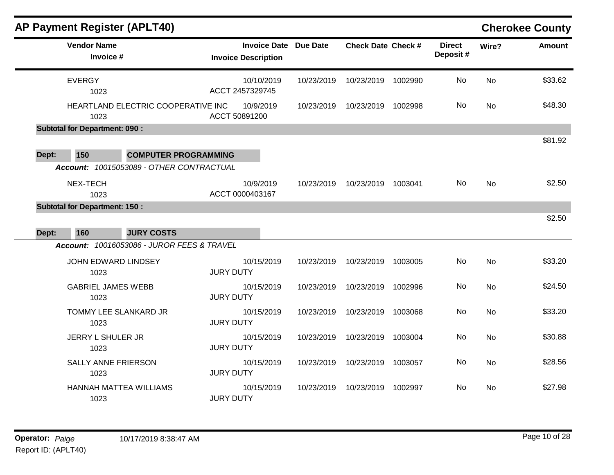| <b>AP Payment Register (APLT40)</b>  |                                                       |                            |                       |            |                           |         |                           |           | <b>Cherokee County</b> |
|--------------------------------------|-------------------------------------------------------|----------------------------|-----------------------|------------|---------------------------|---------|---------------------------|-----------|------------------------|
| <b>Vendor Name</b><br>Invoice #      |                                                       | <b>Invoice Description</b> | Invoice Date Due Date |            | <b>Check Date Check #</b> |         | <b>Direct</b><br>Deposit# | Wire?     | <b>Amount</b>          |
| <b>EVERGY</b><br>1023                |                                                       | ACCT 2457329745            | 10/10/2019            | 10/23/2019 | 10/23/2019                | 1002990 | No                        | <b>No</b> | \$33.62                |
| 1023                                 | HEARTLAND ELECTRIC COOPERATIVE INC                    | ACCT 50891200              | 10/9/2019             | 10/23/2019 | 10/23/2019 1002998        |         | No.                       | No.       | \$48.30                |
| <b>Subtotal for Department: 090:</b> |                                                       |                            |                       |            |                           |         |                           |           | \$81.92                |
| 150<br>Dept:                         | <b>COMPUTER PROGRAMMING</b>                           |                            |                       |            |                           |         |                           |           |                        |
|                                      | Account: 10015053089 - OTHER CONTRACTUAL              |                            |                       |            |                           |         |                           |           |                        |
| NEX-TECH<br>1023                     |                                                       | ACCT 0000403167            | 10/9/2019             | 10/23/2019 | 10/23/2019 1003041        |         | No                        | <b>No</b> | \$2.50                 |
| <b>Subtotal for Department: 150:</b> |                                                       |                            |                       |            |                           |         |                           |           |                        |
| 160<br>Dept:                         | <b>JURY COSTS</b>                                     |                            |                       |            |                           |         |                           |           | \$2.50                 |
|                                      | <b>Account: 10016053086 - JUROR FEES &amp; TRAVEL</b> |                            |                       |            |                           |         |                           |           |                        |
| 1023                                 | JOHN EDWARD LINDSEY                                   | <b>JURY DUTY</b>           | 10/15/2019            | 10/23/2019 | 10/23/2019 1003005        |         | No                        | <b>No</b> | \$33.20                |
| <b>GABRIEL JAMES WEBB</b><br>1023    |                                                       | <b>JURY DUTY</b>           | 10/15/2019            | 10/23/2019 | 10/23/2019 1002996        |         | No.                       | <b>No</b> | \$24.50                |
| 1023                                 | TOMMY LEE SLANKARD JR                                 | <b>JURY DUTY</b>           | 10/15/2019            | 10/23/2019 | 10/23/2019                | 1003068 | <b>No</b>                 | <b>No</b> | \$33.20                |
| JERRY L SHULER JR<br>1023            |                                                       | <b>JURY DUTY</b>           | 10/15/2019            | 10/23/2019 | 10/23/2019                | 1003004 | No.                       | No.       | \$30.88                |
| <b>SALLY ANNE FRIERSON</b><br>1023   |                                                       | <b>JURY DUTY</b>           | 10/15/2019            | 10/23/2019 | 10/23/2019                | 1003057 | <b>No</b>                 | <b>No</b> | \$28.56                |
|                                      | HANNAH MATTEA WILLIAMS                                |                            | 10/15/2019            | 10/23/2019 | 10/23/2019                | 1002997 | No.                       | No.       | \$27.98                |
| 1023                                 |                                                       | <b>JURY DUTY</b>           |                       |            |                           |         |                           |           |                        |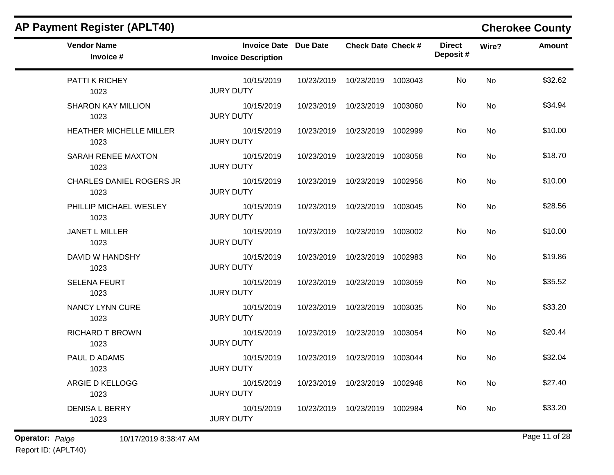| <b>AP Payment Register (APLT40)</b>     |                                                            |            |                                 |         |                            |           | <b>Cherokee County</b> |
|-----------------------------------------|------------------------------------------------------------|------------|---------------------------------|---------|----------------------------|-----------|------------------------|
| <b>Vendor Name</b><br>Invoice #         | <b>Invoice Date Due Date</b><br><b>Invoice Description</b> |            | <b>Check Date Check #</b>       |         | <b>Direct</b><br>Deposit # | Wire?     | <b>Amount</b>          |
| PATTI K RICHEY<br>1023                  | 10/15/2019<br><b>JURY DUTY</b>                             | 10/23/2019 | 10/23/2019                      | 1003043 | No                         | <b>No</b> | \$32.62                |
| <b>SHARON KAY MILLION</b><br>1023       | 10/15/2019<br><b>JURY DUTY</b>                             | 10/23/2019 | 10/23/2019                      | 1003060 | No                         | No        | \$34.94                |
| HEATHER MICHELLE MILLER<br>1023         | 10/15/2019<br><b>JURY DUTY</b>                             | 10/23/2019 | 10/23/2019                      | 1002999 | No                         | No        | \$10.00                |
| SARAH RENEE MAXTON<br>1023              | 10/15/2019<br><b>JURY DUTY</b>                             | 10/23/2019 | 10/23/2019                      | 1003058 | No                         | No        | \$18.70                |
| <b>CHARLES DANIEL ROGERS JR</b><br>1023 | 10/15/2019<br><b>JURY DUTY</b>                             | 10/23/2019 | 10/23/2019                      | 1002956 | No                         | No        | \$10.00                |
| PHILLIP MICHAEL WESLEY<br>1023          | 10/15/2019<br><b>JURY DUTY</b>                             | 10/23/2019 | 10/23/2019 1003045              |         | No                         | No        | \$28.56                |
| JANET L MILLER<br>1023                  | 10/15/2019<br><b>JURY DUTY</b>                             | 10/23/2019 | 10/23/2019                      | 1003002 | No                         | No        | \$10.00                |
| DAVID W HANDSHY<br>1023                 | 10/15/2019<br><b>JURY DUTY</b>                             | 10/23/2019 | 10/23/2019                      | 1002983 | No                         | No        | \$19.86                |
| <b>SELENA FEURT</b><br>1023             | 10/15/2019<br><b>JURY DUTY</b>                             | 10/23/2019 | 10/23/2019                      | 1003059 | No                         | No        | \$35.52                |
| <b>NANCY LYNN CURE</b><br>1023          | 10/15/2019<br><b>JURY DUTY</b>                             | 10/23/2019 | 10/23/2019                      | 1003035 | No.                        | No        | \$33.20                |
| <b>RICHARD T BROWN</b><br>1023          | 10/15/2019<br><b>JURY DUTY</b>                             | 10/23/2019 | 10/23/2019                      | 1003054 | No                         | No        | \$20.44                |
| PAUL D ADAMS<br>1023                    | 10/15/2019<br><b>JURY DUTY</b>                             | 10/23/2019 | 10/23/2019                      | 1003044 | No                         | No        | \$32.04                |
| ARGIE D KELLOGG<br>1023                 | 10/15/2019<br><b>JURY DUTY</b>                             |            | 10/23/2019  10/23/2019  1002948 |         | No                         | No        | \$27.40                |
| <b>DENISA L BERRY</b><br>1023           | 10/15/2019<br><b>JURY DUTY</b>                             |            | 10/23/2019  10/23/2019  1002984 |         | No                         | No        | \$33.20                |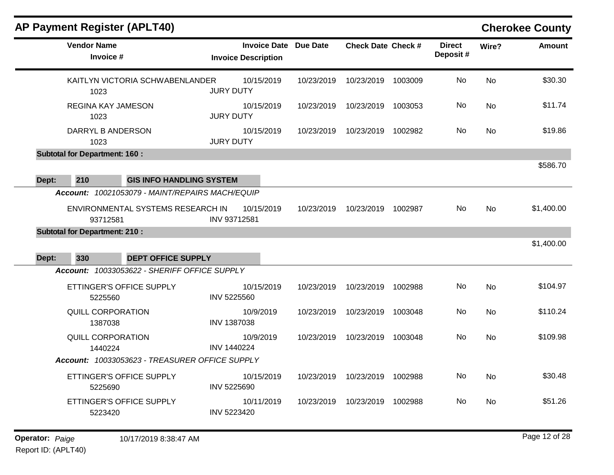| <b>AP Payment Register (APLT40)</b>                                                   |                                                            |            |                           |         |                           |           | <b>Cherokee County</b>   |
|---------------------------------------------------------------------------------------|------------------------------------------------------------|------------|---------------------------|---------|---------------------------|-----------|--------------------------|
| <b>Vendor Name</b><br>Invoice #                                                       | <b>Invoice Date Due Date</b><br><b>Invoice Description</b> |            | <b>Check Date Check #</b> |         | <b>Direct</b><br>Deposit# | Wire?     | <b>Amount</b>            |
| KAITLYN VICTORIA SCHWABENLANDER<br>1023                                               | 10/15/2019<br><b>JURY DUTY</b>                             | 10/23/2019 | 10/23/2019                | 1003009 | No                        | <b>No</b> | \$30.30                  |
| <b>REGINA KAY JAMESON</b><br>1023                                                     | 10/15/2019<br><b>JURY DUTY</b>                             | 10/23/2019 | 10/23/2019                | 1003053 | No.                       | <b>No</b> | \$11.74                  |
| DARRYL B ANDERSON<br>1023                                                             | 10/15/2019<br><b>JURY DUTY</b>                             | 10/23/2019 | 10/23/2019                | 1002982 | No.                       | No        | \$19.86                  |
| <b>Subtotal for Department: 160:</b>                                                  |                                                            |            |                           |         |                           |           | \$586.70                 |
| 210<br><b>GIS INFO HANDLING SYSTEM</b><br>Dept:                                       |                                                            |            |                           |         |                           |           |                          |
| ENVIRONMENTAL SYSTEMS RESEARCH IN<br>93712581<br><b>Subtotal for Department: 210:</b> | 10/15/2019<br>INV 93712581                                 | 10/23/2019 | 10/23/2019                | 1002987 |                           | <b>No</b> | \$1,400.00<br>\$1,400.00 |
| 330<br><b>DEPT OFFICE SUPPLY</b><br>Dept:                                             |                                                            |            |                           |         |                           |           |                          |
| Account: 10033053622 - SHERIFF OFFICE SUPPLY                                          |                                                            |            |                           |         |                           |           |                          |
| ETTINGER'S OFFICE SUPPLY<br>5225560                                                   | 10/15/2019<br><b>INV 5225560</b>                           | 10/23/2019 | 10/23/2019                | 1002988 | No.                       | <b>No</b> | \$104.97                 |
| <b>QUILL CORPORATION</b><br>1387038                                                   | 10/9/2019<br><b>INV 1387038</b>                            | 10/23/2019 | 10/23/2019                | 1003048 | No                        | No        | \$110.24                 |
| <b>QUILL CORPORATION</b><br>1440224                                                   | 10/9/2019<br><b>INV 1440224</b>                            | 10/23/2019 | 10/23/2019                | 1003048 | No.                       | <b>No</b> | \$109.98                 |
| Account: 10033053623 - TREASURER OFFICE SUPPLY                                        |                                                            |            |                           |         |                           |           |                          |
| ETTINGER'S OFFICE SUPPLY<br>5225690                                                   | 10/15/2019<br><b>INV 5225690</b>                           | 10/23/2019 | 10/23/2019                | 1002988 | No                        | <b>No</b> | \$30.48                  |
| ETTINGER'S OFFICE SUPPLY<br>5223420                                                   | 10/11/2019<br>INV 5223420                                  | 10/23/2019 | 10/23/2019                | 1002988 | No                        | <b>No</b> | \$51.26                  |
|                                                                                       |                                                            |            |                           |         |                           |           |                          |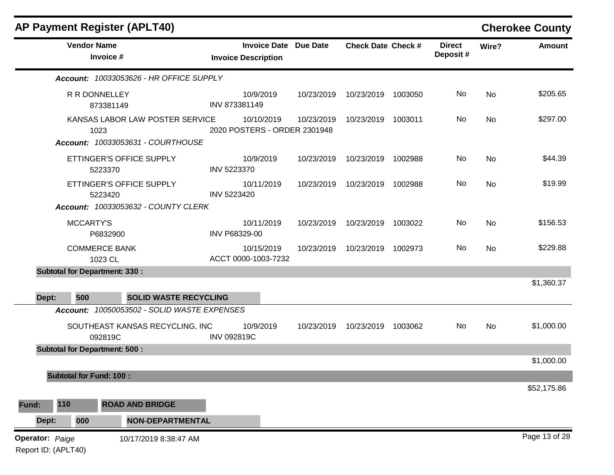|                                               |                                                                              | <b>AP Payment Register (APLT40)</b>         |                    |                                                   |                 |                           |         |                           |           | <b>Cherokee County</b> |
|-----------------------------------------------|------------------------------------------------------------------------------|---------------------------------------------|--------------------|---------------------------------------------------|-----------------|---------------------------|---------|---------------------------|-----------|------------------------|
|                                               | <b>Vendor Name</b>                                                           | Invoice #                                   |                    | <b>Invoice Date</b><br><b>Invoice Description</b> | <b>Due Date</b> | <b>Check Date Check #</b> |         | <b>Direct</b><br>Deposit# | Wire?     | <b>Amount</b>          |
|                                               |                                                                              | Account: 10033053626 - HR OFFICE SUPPLY     |                    |                                                   |                 |                           |         |                           |           |                        |
|                                               | R R DONNELLEY                                                                | 873381149                                   | INV 873381149      | 10/9/2019                                         | 10/23/2019      | 10/23/2019                | 1003050 | No                        | <b>No</b> | \$205.65               |
|                                               | KANSAS LABOR LAW POSTER SERVICE<br>1023<br>Account: 10033053631 - COURTHOUSE |                                             |                    | 10/10/2019<br>2020 POSTERS - ORDER 2301948        | 10/23/2019      | 10/23/2019                | 1003011 | No                        | No        | \$297.00               |
|                                               |                                                                              |                                             |                    |                                                   |                 |                           |         |                           |           |                        |
|                                               | ETTINGER'S OFFICE SUPPLY<br>5223370                                          |                                             |                    | 10/9/2019<br>INV 5223370                          | 10/23/2019      | 10/23/2019                | 1002988 | No                        | <b>No</b> | \$44.39                |
|                                               | ETTINGER'S OFFICE SUPPLY<br>5223420                                          |                                             |                    | 10/11/2019<br>INV 5223420                         | 10/23/2019      | 10/23/2019                | 1002988 | No.                       | <b>No</b> | \$19.99                |
|                                               |                                                                              | Account: 10033053632 - COUNTY CLERK         |                    |                                                   |                 |                           |         |                           |           |                        |
|                                               | <b>MCCARTY'S</b>                                                             | P6832900                                    | INV P68329-00      | 10/11/2019                                        | 10/23/2019      | 10/23/2019                | 1003022 | No                        | No        | \$156.53               |
|                                               | <b>COMMERCE BANK</b><br>1023 CL                                              |                                             |                    | 10/15/2019<br>ACCT 0000-1003-7232                 | 10/23/2019      | 10/23/2019                | 1002973 | No                        | <b>No</b> | \$229.88               |
| <b>Subtotal for Department: 330:</b>          |                                                                              |                                             |                    |                                                   |                 |                           |         |                           |           |                        |
|                                               |                                                                              |                                             |                    |                                                   |                 |                           |         |                           |           | \$1,360.37             |
| Dept:                                         | 500                                                                          | <b>SOLID WASTE RECYCLING</b>                |                    |                                                   |                 |                           |         |                           |           |                        |
|                                               |                                                                              | Account: 10050053502 - SOLID WASTE EXPENSES |                    |                                                   |                 |                           |         |                           |           |                        |
|                                               | 092819C                                                                      | SOUTHEAST KANSAS RECYCLING, INC             | <b>INV 092819C</b> | 10/9/2019                                         | 10/23/2019      | 10/23/2019                | 1003062 | No                        | No        | \$1,000.00             |
| <b>Subtotal for Department: 500:</b>          |                                                                              |                                             |                    |                                                   |                 |                           |         |                           |           | \$1,000.00             |
|                                               | <b>Subtotal for Fund: 100:</b>                                               |                                             |                    |                                                   |                 |                           |         |                           |           |                        |
|                                               |                                                                              |                                             |                    |                                                   |                 |                           |         |                           |           | \$52,175.86            |
| 110<br>Fund:                                  |                                                                              | <b>ROAD AND BRIDGE</b>                      |                    |                                                   |                 |                           |         |                           |           |                        |
| Dept:                                         | 000                                                                          | <b>NON-DEPARTMENTAL</b>                     |                    |                                                   |                 |                           |         |                           |           |                        |
| <b>Operator: Paige</b><br>Report ID: (APLT40) |                                                                              | 10/17/2019 8:38:47 AM                       |                    |                                                   |                 |                           |         |                           |           | Page 13 of 28          |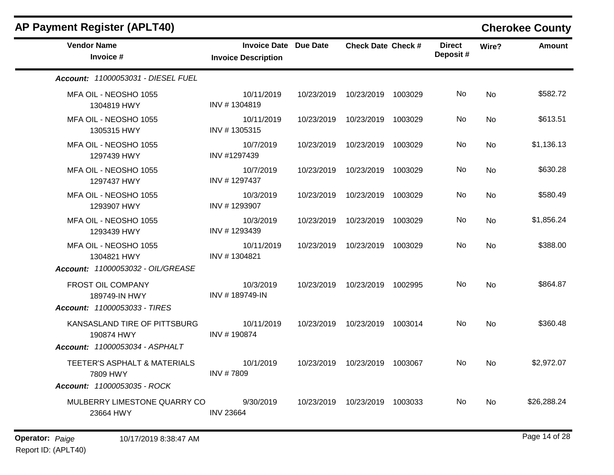| <b>AP Payment Register (APLT40)</b>                                        |                                                            |            |                                 |         |                           |           | <b>Cherokee County</b> |
|----------------------------------------------------------------------------|------------------------------------------------------------|------------|---------------------------------|---------|---------------------------|-----------|------------------------|
| <b>Vendor Name</b><br>Invoice #                                            | <b>Invoice Date Due Date</b><br><b>Invoice Description</b> |            | <b>Check Date Check #</b>       |         | <b>Direct</b><br>Deposit# | Wire?     | <b>Amount</b>          |
| <b>Account: 11000053031 - DIESEL FUEL</b>                                  |                                                            |            |                                 |         |                           |           |                        |
| MFA OIL - NEOSHO 1055<br>1304819 HWY                                       | 10/11/2019<br>INV #1304819                                 | 10/23/2019 | 10/23/2019 1003029              |         | No.                       | No        | \$582.72               |
| MFA OIL - NEOSHO 1055<br>1305315 HWY                                       | 10/11/2019<br>INV #1305315                                 | 10/23/2019 | 10/23/2019 1003029              |         | No.                       | <b>No</b> | \$613.51               |
| MFA OIL - NEOSHO 1055<br>1297439 HWY                                       | 10/7/2019<br>INV #1297439                                  | 10/23/2019 | 10/23/2019                      | 1003029 | No.                       | No        | \$1,136.13             |
| MFA OIL - NEOSHO 1055<br>1297437 HWY                                       | 10/7/2019<br>INV #1297437                                  | 10/23/2019 | 10/23/2019 1003029              |         | No.                       | No        | \$630.28               |
| MFA OIL - NEOSHO 1055<br>1293907 HWY                                       | 10/3/2019<br>INV #1293907                                  | 10/23/2019 | 10/23/2019                      | 1003029 | No.                       | No        | \$580.49               |
| MFA OIL - NEOSHO 1055<br>1293439 HWY                                       | 10/3/2019<br>INV #1293439                                  | 10/23/2019 | 10/23/2019 1003029              |         | No                        | No        | \$1,856.24             |
| MFA OIL - NEOSHO 1055<br>1304821 HWY<br>Account: 11000053032 - OIL/GREASE  | 10/11/2019<br>INV #1304821                                 |            | 10/23/2019  10/23/2019  1003029 |         | No.                       | <b>No</b> | \$388.00               |
| FROST OIL COMPANY<br>189749-IN HWY<br>Account: 11000053033 - TIRES         | 10/3/2019<br>INV #189749-IN                                |            | 10/23/2019  10/23/2019  1002995 |         | No.                       | No        | \$864.87               |
| KANSASLAND TIRE OF PITTSBURG<br>190874 HWY                                 | 10/11/2019<br>INV #190874                                  | 10/23/2019 | 10/23/2019 1003014              |         | No.                       | No        | \$360.48               |
| Account: 11000053034 - ASPHALT<br>TEETER'S ASPHALT & MATERIALS<br>7809 HWY | 10/1/2019<br>INV #7809                                     |            | 10/23/2019  10/23/2019  1003067 |         | No.                       | No        | \$2,972.07             |
| Account: 11000053035 - ROCK<br>MULBERRY LIMESTONE QUARRY CO<br>23664 HWY   | 9/30/2019<br><b>INV 23664</b>                              | 10/23/2019 | 10/23/2019 1003033              |         | No.                       | <b>No</b> | \$26,288.24            |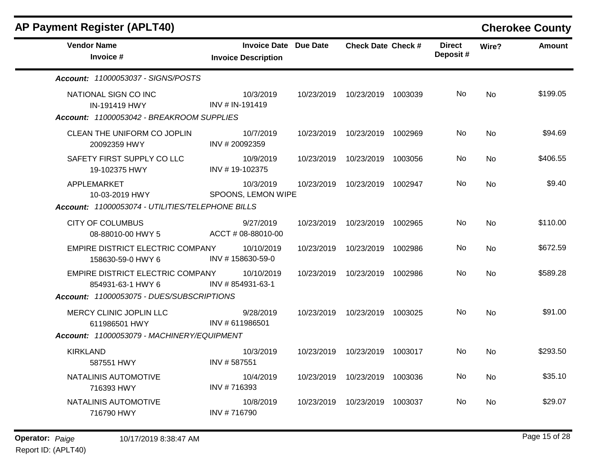| <b>AP Payment Register (APLT40)</b>                                                       |                                                            |            |                                 |         |                           |           | <b>Cherokee County</b> |
|-------------------------------------------------------------------------------------------|------------------------------------------------------------|------------|---------------------------------|---------|---------------------------|-----------|------------------------|
| <b>Vendor Name</b><br>Invoice #                                                           | <b>Invoice Date Due Date</b><br><b>Invoice Description</b> |            | <b>Check Date Check #</b>       |         | <b>Direct</b><br>Deposit# | Wire?     | <b>Amount</b>          |
| Account: 11000053037 - SIGNS/POSTS                                                        |                                                            |            |                                 |         |                           |           |                        |
| NATIONAL SIGN CO INC<br><b>IN-191419 HWY</b><br>Account: 11000053042 - BREAKROOM SUPPLIES | 10/3/2019<br>INV # IN-191419                               |            | 10/23/2019  10/23/2019  1003039 |         | No                        | <b>No</b> | \$199.05               |
| CLEAN THE UNIFORM CO JOPLIN<br>20092359 HWY                                               | 10/7/2019<br>INV #20092359                                 | 10/23/2019 | 10/23/2019 1002969              |         | No.                       | No        | \$94.69                |
| SAFETY FIRST SUPPLY CO LLC<br>19-102375 HWY                                               | 10/9/2019<br>INV #19-102375                                |            | 10/23/2019  10/23/2019  1003056 |         | No                        | <b>No</b> | \$406.55               |
| APPLEMARKET<br>10-03-2019 HWY                                                             | 10/3/2019<br>SPOONS, LEMON WIPE                            | 10/23/2019 | 10/23/2019 1002947              |         | No.                       | <b>No</b> | \$9.40                 |
| Account: 11000053074 - UTILITIES/TELEPHONE BILLS                                          |                                                            |            |                                 |         |                           |           |                        |
| <b>CITY OF COLUMBUS</b><br>08-88010-00 HWY 5                                              | 9/27/2019<br>ACCT # 08-88010-00                            |            | 10/23/2019  10/23/2019  1002965 |         | No                        | No        | \$110.00               |
| EMPIRE DISTRICT ELECTRIC COMPANY<br>158630-59-0 HWY 6                                     | 10/10/2019<br>INV #158630-59-0                             | 10/23/2019 | 10/23/2019                      | 1002986 | No                        | <b>No</b> | \$672.59               |
| EMPIRE DISTRICT ELECTRIC COMPANY<br>854931-63-1 HWY 6                                     | 10/10/2019<br>INV #854931-63-1                             | 10/23/2019 | 10/23/2019                      | 1002986 | No.                       | <b>No</b> | \$589.28               |
| Account: 11000053075 - DUES/SUBSCRIPTIONS                                                 |                                                            |            |                                 |         |                           |           |                        |
| MERCY CLINIC JOPLIN LLC<br>611986501 HWY                                                  | 9/28/2019<br>INV # 611986501                               | 10/23/2019 | 10/23/2019 1003025              |         | No                        | <b>No</b> | \$91.00                |
| Account: 11000053079 - MACHINERY/EQUIPMENT                                                |                                                            |            |                                 |         |                           |           |                        |
| <b>KIRKLAND</b><br>587551 HWY                                                             | 10/3/2019<br>INV #587551                                   |            | 10/23/2019  10/23/2019  1003017 |         | No.                       | No        | \$293.50               |
| NATALINIS AUTOMOTIVE<br>716393 HWY                                                        | 10/4/2019<br>INV #716393                                   | 10/23/2019 | 10/23/2019 1003036              |         | No                        | No        | \$35.10                |
| NATALINIS AUTOMOTIVE<br>716790 HWY                                                        | 10/8/2019<br>INV #716790                                   | 10/23/2019 | 10/23/2019 1003037              |         | No.                       | No.       | \$29.07                |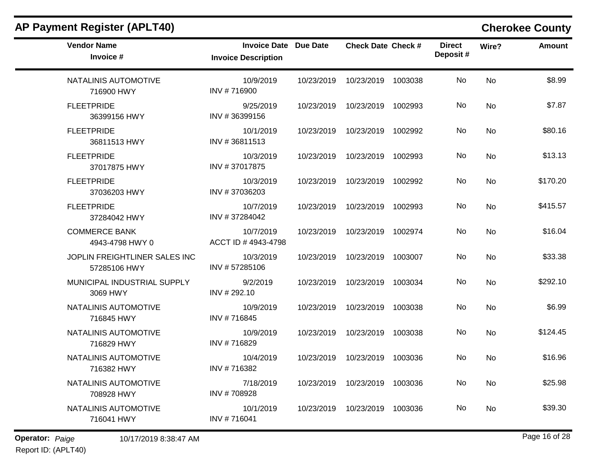| <b>Vendor Name</b><br>Invoice #               | Invoice Date Due Date<br><b>Invoice Description</b> | <b>Check Date Check #</b>       | <b>Direct</b><br>Deposit# | Wire?     | <b>Amount</b> |
|-----------------------------------------------|-----------------------------------------------------|---------------------------------|---------------------------|-----------|---------------|
| NATALINIS AUTOMOTIVE<br>716900 HWY            | 10/9/2019<br>INV #716900                            | 10/23/2019  10/23/2019  1003038 | No                        | <b>No</b> | \$8.99        |
| <b>FLEETPRIDE</b><br>36399156 HWY             | 9/25/2019<br>INV #36399156                          | 10/23/2019  10/23/2019  1002993 | No                        | <b>No</b> | \$7.87        |
| <b>FLEETPRIDE</b><br>36811513 HWY             | 10/1/2019<br>INV #36811513                          | 10/23/2019  10/23/2019  1002992 | No.                       | No        | \$80.16       |
| <b>FLEETPRIDE</b><br>37017875 HWY             | 10/3/2019<br>INV #37017875                          | 10/23/2019  10/23/2019  1002993 | No.                       | <b>No</b> | \$13.13       |
| <b>FLEETPRIDE</b><br>37036203 HWY             | 10/3/2019<br>INV #37036203                          | 10/23/2019  10/23/2019  1002992 | No.                       | No        | \$170.20      |
| <b>FLEETPRIDE</b><br>37284042 HWY             | 10/7/2019<br>INV #37284042                          | 10/23/2019  10/23/2019  1002993 | No                        | No        | \$415.57      |
| <b>COMMERCE BANK</b><br>4943-4798 HWY 0       | 10/7/2019<br>ACCT ID #4943-4798                     | 10/23/2019  10/23/2019  1002974 | No.                       | <b>No</b> | \$16.04       |
| JOPLIN FREIGHTLINER SALES INC<br>57285106 HWY | 10/3/2019<br>INV #57285106                          | 10/23/2019  10/23/2019  1003007 | No                        | No        | \$33.38       |
| MUNICIPAL INDUSTRIAL SUPPLY<br>3069 HWY       | 9/2/2019<br>INV #292.10                             | 10/23/2019  10/23/2019  1003034 | No                        | No        | \$292.10      |
| NATALINIS AUTOMOTIVE<br>716845 HWY            | 10/9/2019<br>INV #716845                            | 10/23/2019  10/23/2019  1003038 | No.                       | <b>No</b> | \$6.99        |
| NATALINIS AUTOMOTIVE<br>716829 HWY            | 10/9/2019<br>INV #716829                            | 10/23/2019  10/23/2019  1003038 | No                        | <b>No</b> | \$124.45      |
| NATALINIS AUTOMOTIVE<br>716382 HWY            | 10/4/2019<br>INV #716382                            | 10/23/2019  10/23/2019  1003036 | No.                       | <b>No</b> | \$16.96       |
| NATALINIS AUTOMOTIVE<br>708928 HWY            | 7/18/2019<br>INV #708928                            | 10/23/2019  10/23/2019  1003036 | No                        | No        | \$25.98       |
| NATALINIS AUTOMOTIVE<br>716041 HWY            | 10/1/2019<br>INV #716041                            | 10/23/2019  10/23/2019  1003036 | No                        | <b>No</b> | \$39.30       |

## **AP Payment Register (APLT40) Cherokee County**

**Operator:** Paige 16 of 28 10/17/2019 8:38:47 AM Report ID: (APLT40)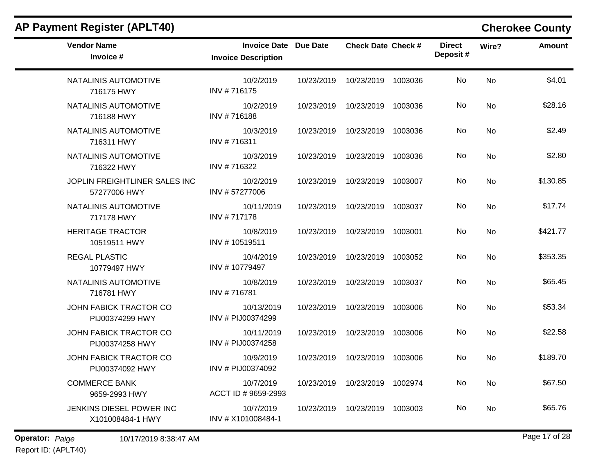| <b>Vendor Name</b><br>Invoice #               | <b>Invoice Date Due Date</b><br><b>Invoice Description</b> |            | <b>Check Date Check #</b> | <b>Direct</b><br>Deposit# | Wire?     | <b>Amount</b> |
|-----------------------------------------------|------------------------------------------------------------|------------|---------------------------|---------------------------|-----------|---------------|
| NATALINIS AUTOMOTIVE<br>716175 HWY            | 10/2/2019<br>INV #716175                                   | 10/23/2019 | 10/23/2019 1003036        | No                        | <b>No</b> | \$4.01        |
| NATALINIS AUTOMOTIVE<br>716188 HWY            | 10/2/2019<br>INV #716188                                   | 10/23/2019 | 10/23/2019 1003036        | No.                       | <b>No</b> | \$28.16       |
| NATALINIS AUTOMOTIVE<br>716311 HWY            | 10/3/2019<br>INV #716311                                   | 10/23/2019 | 10/23/2019 1003036        | No.                       | <b>No</b> | \$2.49        |
| NATALINIS AUTOMOTIVE<br>716322 HWY            | 10/3/2019<br>INV #716322                                   | 10/23/2019 | 10/23/2019 1003036        | No                        | <b>No</b> | \$2.80        |
| JOPLIN FREIGHTLINER SALES INC<br>57277006 HWY | 10/2/2019<br>INV #57277006                                 | 10/23/2019 | 10/23/2019 1003007        | No.                       | No        | \$130.85      |
| NATALINIS AUTOMOTIVE<br>717178 HWY            | 10/11/2019<br>INV #717178                                  | 10/23/2019 | 10/23/2019 1003037        | No                        | <b>No</b> | \$17.74       |
| <b>HERITAGE TRACTOR</b><br>10519511 HWY       | 10/8/2019<br>INV #10519511                                 | 10/23/2019 | 10/23/2019 1003001        | No.                       | No        | \$421.77      |
| <b>REGAL PLASTIC</b><br>10779497 HWY          | 10/4/2019<br>INV #10779497                                 | 10/23/2019 | 10/23/2019 1003052        | No                        | <b>No</b> | \$353.35      |
| NATALINIS AUTOMOTIVE<br>716781 HWY            | 10/8/2019<br>INV #716781                                   | 10/23/2019 | 10/23/2019 1003037        | No                        | <b>No</b> | \$65.45       |
| JOHN FABICK TRACTOR CO<br>PIJ00374299 HWY     | 10/13/2019<br>INV # PIJ00374299                            | 10/23/2019 | 10/23/2019 1003006        | No.                       | <b>No</b> | \$53.34       |
| JOHN FABICK TRACTOR CO<br>PIJ00374258 HWY     | 10/11/2019<br>INV # PIJ00374258                            | 10/23/2019 | 10/23/2019 1003006        | No                        | No        | \$22.58       |
| JOHN FABICK TRACTOR CO<br>PIJ00374092 HWY     | 10/9/2019<br>INV # PIJ00374092                             | 10/23/2019 | 10/23/2019 1003006        | No                        | <b>No</b> | \$189.70      |
| <b>COMMERCE BANK</b><br>9659-2993 HWY         | 10/7/2019<br>ACCT ID # 9659-2993                           | 10/23/2019 | 10/23/2019 1002974        | No.                       | No        | \$67.50       |
| JENKINS DIESEL POWER INC<br>X101008484-1 HWY  | 10/7/2019<br>INV # X101008484-1                            | 10/23/2019 | 10/23/2019 1003003        | No                        | No        | \$65.76       |

## **AP Payment Register (APLT40) Cherokee County**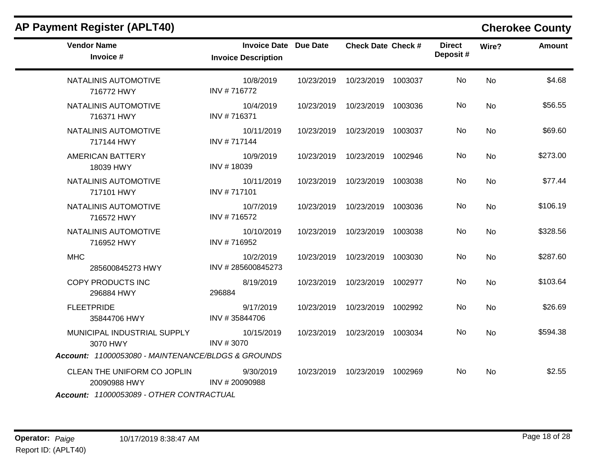| <b>AP Payment Register (APLT40)</b>                                                           |                                                            |            |                                 |         |                           |           | <b>Cherokee County</b> |
|-----------------------------------------------------------------------------------------------|------------------------------------------------------------|------------|---------------------------------|---------|---------------------------|-----------|------------------------|
| <b>Vendor Name</b><br>Invoice #                                                               | <b>Invoice Date Due Date</b><br><b>Invoice Description</b> |            | <b>Check Date Check #</b>       |         | <b>Direct</b><br>Deposit# | Wire?     | <b>Amount</b>          |
| NATALINIS AUTOMOTIVE<br>716772 HWY                                                            | 10/8/2019<br>INV #716772                                   | 10/23/2019 | 10/23/2019                      | 1003037 | No.                       | <b>No</b> | \$4.68                 |
| NATALINIS AUTOMOTIVE<br>716371 HWY                                                            | 10/4/2019<br>INV #716371                                   | 10/23/2019 | 10/23/2019                      | 1003036 | No                        | <b>No</b> | \$56.55                |
| NATALINIS AUTOMOTIVE<br>717144 HWY                                                            | 10/11/2019<br>INV #717144                                  |            | 10/23/2019  10/23/2019  1003037 |         | No.                       | No        | \$69.60                |
| <b>AMERICAN BATTERY</b><br>18039 HWY                                                          | 10/9/2019<br>INV #18039                                    | 10/23/2019 | 10/23/2019                      | 1002946 | No                        | <b>No</b> | \$273.00               |
| NATALINIS AUTOMOTIVE<br>717101 HWY                                                            | 10/11/2019<br>INV #717101                                  |            | 10/23/2019  10/23/2019  1003038 |         | No.                       | No        | \$77.44                |
| NATALINIS AUTOMOTIVE<br>716572 HWY                                                            | 10/7/2019<br>INV #716572                                   | 10/23/2019 | 10/23/2019                      | 1003036 | No.                       | <b>No</b> | \$106.19               |
| NATALINIS AUTOMOTIVE<br>716952 HWY                                                            | 10/10/2019<br>INV #716952                                  |            | 10/23/2019  10/23/2019  1003038 |         | No.                       | No        | \$328.56               |
| <b>MHC</b><br>285600845273 HWY                                                                | 10/2/2019<br>INV #285600845273                             | 10/23/2019 | 10/23/2019 1003030              |         | No                        | <b>No</b> | \$287.60               |
| COPY PRODUCTS INC<br>296884 HWY                                                               | 8/19/2019<br>296884                                        |            | 10/23/2019  10/23/2019  1002977 |         | No.                       | No        | \$103.64               |
| <b>FLEETPRIDE</b><br>35844706 HWY                                                             | 9/17/2019<br>INV #35844706                                 | 10/23/2019 | 10/23/2019 1002992              |         | No                        | No        | \$26.69                |
| MUNICIPAL INDUSTRIAL SUPPLY<br>3070 HWY<br>Account: 11000053080 - MAINTENANCE/BLDGS & GROUNDS | 10/15/2019<br>INV #3070                                    |            | 10/23/2019  10/23/2019  1003034 |         | No.                       | No        | \$594.38               |
| CLEAN THE UNIFORM CO JOPLIN<br>20090988 HWY<br>Account: 11000053089 - OTHER CONTRACTUAL       | 9/30/2019<br>INV #20090988                                 |            | 10/23/2019  10/23/2019  1002969 |         | No.                       | No        | \$2.55                 |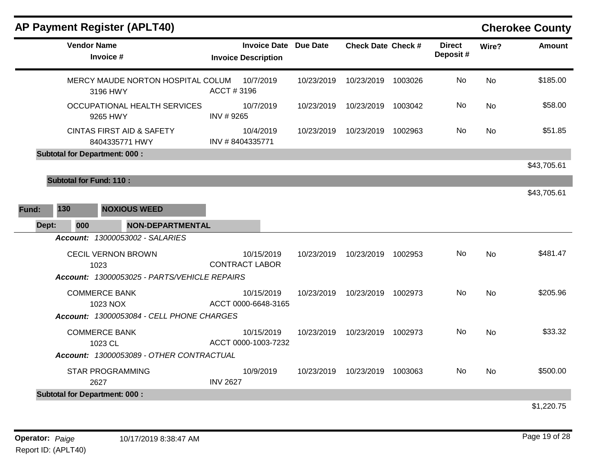|              | <b>AP Payment Register (APLT40)</b>                    |                                     |                              |                           |         |                           |           | <b>Cherokee County</b> |
|--------------|--------------------------------------------------------|-------------------------------------|------------------------------|---------------------------|---------|---------------------------|-----------|------------------------|
|              | <b>Vendor Name</b><br>Invoice #                        | <b>Invoice Description</b>          | <b>Invoice Date Due Date</b> | <b>Check Date Check #</b> |         | <b>Direct</b><br>Deposit# | Wire?     | <b>Amount</b>          |
|              | MERCY MAUDE NORTON HOSPITAL COLUM<br>3196 HWY          | 10/7/2019<br>ACCT#3196              | 10/23/2019                   | 10/23/2019                | 1003026 | No                        | <b>No</b> | \$185.00               |
|              | OCCUPATIONAL HEALTH SERVICES<br>9265 HWY               | 10/7/2019<br>INV #9265              | 10/23/2019                   | 10/23/2019 1003042        |         | No.                       | No        | \$58.00                |
|              | <b>CINTAS FIRST AID &amp; SAFETY</b><br>8404335771 HWY | 10/4/2019<br>INV #8404335771        | 10/23/2019                   | 10/23/2019                | 1002963 | No                        | No        | \$51.85                |
|              | <b>Subtotal for Department: 000:</b>                   |                                     |                              |                           |         |                           |           |                        |
|              |                                                        |                                     |                              |                           |         |                           |           | \$43,705.61            |
|              | <b>Subtotal for Fund: 110:</b>                         |                                     |                              |                           |         |                           |           |                        |
|              |                                                        |                                     |                              |                           |         |                           |           | \$43,705.61            |
| 130<br>Fund: | <b>NOXIOUS WEED</b>                                    |                                     |                              |                           |         |                           |           |                        |
| Dept:        | <b>NON-DEPARTMENTAL</b><br>000                         |                                     |                              |                           |         |                           |           |                        |
|              | Account: 13000053002 - SALARIES                        |                                     |                              |                           |         |                           |           |                        |
|              | <b>CECIL VERNON BROWN</b><br>1023                      | 10/15/2019<br><b>CONTRACT LABOR</b> | 10/23/2019                   | 10/23/2019                | 1002953 | No                        | No        | \$481.47               |
|              | Account: 13000053025 - PARTS/VEHICLE REPAIRS           |                                     |                              |                           |         |                           |           |                        |
|              | <b>COMMERCE BANK</b><br>1023 NOX                       | 10/15/2019<br>ACCT 0000-6648-3165   | 10/23/2019                   | 10/23/2019                | 1002973 | No.                       | <b>No</b> | \$205.96               |
|              | Account: 13000053084 - CELL PHONE CHARGES              |                                     |                              |                           |         |                           |           |                        |
|              | <b>COMMERCE BANK</b><br>1023 CL                        | 10/15/2019<br>ACCT 0000-1003-7232   | 10/23/2019                   | 10/23/2019 1002973        |         | No.                       | <b>No</b> | \$33.32                |
|              | Account: 13000053089 - OTHER CONTRACTUAL               |                                     |                              |                           |         |                           |           |                        |
|              | <b>STAR PROGRAMMING</b><br>2627                        | 10/9/2019<br><b>INV 2627</b>        | 10/23/2019                   | 10/23/2019                | 1003063 | No.                       | <b>No</b> | \$500.00               |
|              | <b>Subtotal for Department: 000:</b>                   |                                     |                              |                           |         |                           |           |                        |
|              |                                                        |                                     |                              |                           |         |                           |           | \$1,220.75             |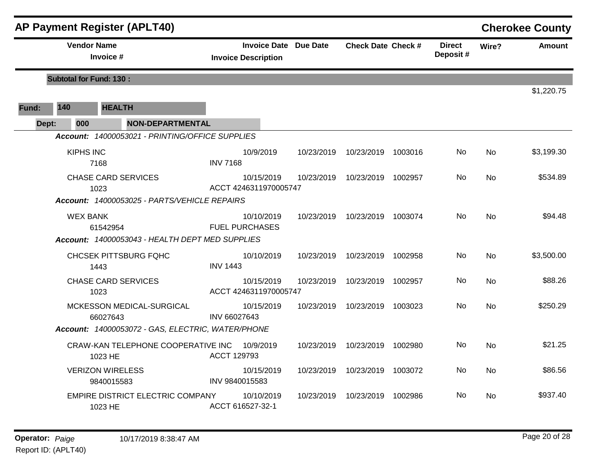|       |       |                    | <b>AP Payment Register (APLT40)</b>               |                 |                                                            |            |                           |         |                           |           | <b>Cherokee County</b> |
|-------|-------|--------------------|---------------------------------------------------|-----------------|------------------------------------------------------------|------------|---------------------------|---------|---------------------------|-----------|------------------------|
|       |       | <b>Vendor Name</b> | Invoice #                                         |                 | <b>Invoice Date Due Date</b><br><b>Invoice Description</b> |            | <b>Check Date Check #</b> |         | <b>Direct</b><br>Deposit# | Wire?     | <b>Amount</b>          |
|       |       |                    | <b>Subtotal for Fund: 130:</b>                    |                 |                                                            |            |                           |         |                           |           |                        |
|       |       |                    |                                                   |                 |                                                            |            |                           |         |                           |           | \$1,220.75             |
| Fund: | 140   |                    | <b>HEALTH</b>                                     |                 |                                                            |            |                           |         |                           |           |                        |
|       | Dept: | 000                | <b>NON-DEPARTMENTAL</b>                           |                 |                                                            |            |                           |         |                           |           |                        |
|       |       |                    | Account: 14000053021 - PRINTING/OFFICE SUPPLIES   |                 |                                                            |            |                           |         |                           |           |                        |
|       |       | <b>KIPHS INC</b>   | 7168                                              | <b>INV 7168</b> | 10/9/2019                                                  | 10/23/2019 | 10/23/2019                | 1003016 | No.                       | No        | \$3,199.30             |
|       |       |                    | <b>CHASE CARD SERVICES</b><br>1023                |                 | 10/15/2019<br>ACCT 4246311970005747                        | 10/23/2019 | 10/23/2019 1002957        |         | No.                       | No        | \$534.89               |
|       |       |                    | Account: 14000053025 - PARTS/VEHICLE REPAIRS      |                 |                                                            |            |                           |         |                           |           |                        |
|       |       | <b>WEX BANK</b>    | 61542954                                          |                 | 10/10/2019<br><b>FUEL PURCHASES</b>                        | 10/23/2019 | 10/23/2019 1003074        |         | No.                       | <b>No</b> | \$94.48                |
|       |       |                    | Account: 14000053043 - HEALTH DEPT MED SUPPLIES   |                 |                                                            |            |                           |         |                           |           |                        |
|       |       |                    | <b>CHCSEK PITTSBURG FQHC</b><br>1443              | <b>INV 1443</b> | 10/10/2019                                                 | 10/23/2019 | 10/23/2019 1002958        |         | No.                       | <b>No</b> | \$3,500.00             |
|       |       |                    | <b>CHASE CARD SERVICES</b><br>1023                |                 | 10/15/2019<br>ACCT 4246311970005747                        | 10/23/2019 | 10/23/2019 1002957        |         | No.                       | <b>No</b> | \$88.26                |
|       |       |                    | MCKESSON MEDICAL-SURGICAL<br>66027643             | INV 66027643    | 10/15/2019                                                 | 10/23/2019 | 10/23/2019                | 1003023 | No                        | <b>No</b> | \$250.29               |
|       |       |                    | Account: 14000053072 - GAS, ELECTRIC, WATER/PHONE |                 |                                                            |            |                           |         |                           |           |                        |
|       |       |                    | CRAW-KAN TELEPHONE COOPERATIVE INC<br>1023 HE     | ACCT 129793     | 10/9/2019                                                  | 10/23/2019 | 10/23/2019 1002980        |         | No.                       | <b>No</b> | \$21.25                |
|       |       |                    | <b>VERIZON WIRELESS</b><br>9840015583             | INV 9840015583  | 10/15/2019                                                 | 10/23/2019 | 10/23/2019                | 1003072 | No.                       | No        | \$86.56                |
|       |       |                    | EMPIRE DISTRICT ELECTRIC COMPANY<br>1023 HE       |                 | 10/10/2019<br>ACCT 616527-32-1                             | 10/23/2019 | 10/23/2019                | 1002986 | No                        | No        | \$937.40               |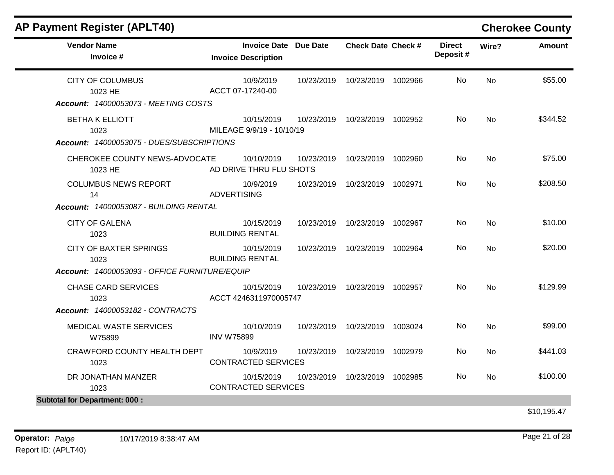|                                      |                                                                                                                                                                                                                                                                                  |                                                                                                                                                                           |         |                                                                                                                                                                                                                                               |               | <b>Amount</b> |
|--------------------------------------|----------------------------------------------------------------------------------------------------------------------------------------------------------------------------------------------------------------------------------------------------------------------------------|---------------------------------------------------------------------------------------------------------------------------------------------------------------------------|---------|-----------------------------------------------------------------------------------------------------------------------------------------------------------------------------------------------------------------------------------------------|---------------|---------------|
| <b>Invoice Description</b>           |                                                                                                                                                                                                                                                                                  |                                                                                                                                                                           |         | Deposit#                                                                                                                                                                                                                                      |               |               |
| 10/9/2019<br>ACCT 07-17240-00        | 10/23/2019                                                                                                                                                                                                                                                                       |                                                                                                                                                                           |         | No.                                                                                                                                                                                                                                           | <b>No</b>     | \$55.00       |
|                                      |                                                                                                                                                                                                                                                                                  |                                                                                                                                                                           |         |                                                                                                                                                                                                                                               |               |               |
| 10/15/2019                           | 10/23/2019                                                                                                                                                                                                                                                                       |                                                                                                                                                                           |         | No                                                                                                                                                                                                                                            | <b>No</b>     | \$344.52      |
|                                      |                                                                                                                                                                                                                                                                                  |                                                                                                                                                                           |         |                                                                                                                                                                                                                                               |               |               |
| 10/10/2019                           | 10/23/2019                                                                                                                                                                                                                                                                       |                                                                                                                                                                           | 1002960 | No.                                                                                                                                                                                                                                           | <b>No</b>     | \$75.00       |
| 10/9/2019<br><b>ADVERTISING</b>      | 10/23/2019                                                                                                                                                                                                                                                                       |                                                                                                                                                                           |         | No.                                                                                                                                                                                                                                           | <b>No</b>     | \$208.50      |
|                                      |                                                                                                                                                                                                                                                                                  |                                                                                                                                                                           |         |                                                                                                                                                                                                                                               |               |               |
| 10/15/2019<br><b>BUILDING RENTAL</b> | 10/23/2019                                                                                                                                                                                                                                                                       |                                                                                                                                                                           |         | No.                                                                                                                                                                                                                                           | <b>No</b>     | \$10.00       |
| 10/15/2019<br><b>BUILDING RENTAL</b> | 10/23/2019                                                                                                                                                                                                                                                                       |                                                                                                                                                                           |         | No.                                                                                                                                                                                                                                           | <b>No</b>     | \$20.00       |
|                                      |                                                                                                                                                                                                                                                                                  |                                                                                                                                                                           |         |                                                                                                                                                                                                                                               |               |               |
| 10/15/2019                           | 10/23/2019                                                                                                                                                                                                                                                                       |                                                                                                                                                                           |         | No.                                                                                                                                                                                                                                           | <b>No</b>     | \$129.99      |
|                                      |                                                                                                                                                                                                                                                                                  |                                                                                                                                                                           |         |                                                                                                                                                                                                                                               |               |               |
| 10/10/2019<br><b>INV W75899</b>      | 10/23/2019                                                                                                                                                                                                                                                                       |                                                                                                                                                                           |         | No.                                                                                                                                                                                                                                           | <b>No</b>     | \$99.00       |
| 10/9/2019                            | 10/23/2019                                                                                                                                                                                                                                                                       |                                                                                                                                                                           |         | No.                                                                                                                                                                                                                                           | <b>No</b>     | \$441.03      |
| 10/15/2019                           | 10/23/2019                                                                                                                                                                                                                                                                       |                                                                                                                                                                           |         | No                                                                                                                                                                                                                                            | No            | \$100.00      |
|                                      | Account: 14000053073 - MEETING COSTS<br>Account: 14000053075 - DUES/SUBSCRIPTIONS<br>CHEROKEE COUNTY NEWS-ADVOCATE<br>Account: 14000053087 - BUILDING RENTAL<br>Account: 14000053093 - OFFICE FURNITURE/EQUIP<br>Account: 14000053182 - CONTRACTS<br>CRAWFORD COUNTY HEALTH DEPT | <b>Invoice Date Due Date</b><br>MILEAGE 9/9/19 - 10/10/19<br>AD DRIVE THRU FLU SHOTS<br>ACCT 4246311970005747<br><b>CONTRACTED SERVICES</b><br><b>CONTRACTED SERVICES</b> |         | <b>Check Date Check #</b><br>10/23/2019 1002966<br>10/23/2019 1002952<br>10/23/2019<br>10/23/2019 1002971<br>10/23/2019 1002967<br>10/23/2019 1002964<br>10/23/2019 1002957<br>10/23/2019 1003024<br>10/23/2019 1002979<br>10/23/2019 1002985 | <b>Direct</b> | Wire?         |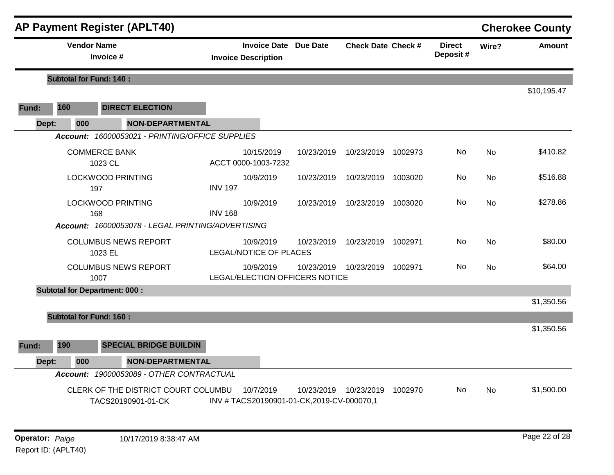|       |                                | <b>AP Payment Register (APLT40)</b>                       |                                          |            |                              |                           |         |                           |           | <b>Cherokee County</b> |
|-------|--------------------------------|-----------------------------------------------------------|------------------------------------------|------------|------------------------------|---------------------------|---------|---------------------------|-----------|------------------------|
|       | <b>Vendor Name</b>             | Invoice #                                                 | <b>Invoice Description</b>               |            | <b>Invoice Date Due Date</b> | <b>Check Date Check #</b> |         | <b>Direct</b><br>Deposit# | Wire?     | <b>Amount</b>          |
|       | <b>Subtotal for Fund: 140:</b> |                                                           |                                          |            |                              |                           |         |                           |           |                        |
|       |                                |                                                           |                                          |            |                              |                           |         |                           |           | \$10,195.47            |
| Fund: | 160                            | <b>DIRECT ELECTION</b>                                    |                                          |            |                              |                           |         |                           |           |                        |
| Dept: | 000                            | <b>NON-DEPARTMENTAL</b>                                   |                                          |            |                              |                           |         |                           |           |                        |
|       |                                | Account: 16000053021 - PRINTING/OFFICE SUPPLIES           |                                          |            |                              |                           |         |                           |           |                        |
|       |                                | <b>COMMERCE BANK</b><br>1023 CL                           | ACCT 0000-1003-7232                      | 10/15/2019 | 10/23/2019                   | 10/23/2019                | 1002973 | No.                       | <b>No</b> | \$410.82               |
|       |                                | <b>LOCKWOOD PRINTING</b><br>197                           | <b>INV 197</b>                           | 10/9/2019  | 10/23/2019                   | 10/23/2019                | 1003020 | No                        | <b>No</b> | \$516.88               |
|       |                                | <b>LOCKWOOD PRINTING</b><br>168                           | <b>INV 168</b>                           | 10/9/2019  | 10/23/2019                   | 10/23/2019                | 1003020 | No                        | <b>No</b> | \$278.86               |
|       |                                | Account: 16000053078 - LEGAL PRINTING/ADVERTISING         |                                          |            |                              |                           |         |                           |           |                        |
|       |                                | <b>COLUMBUS NEWS REPORT</b><br>1023 EL                    | LEGAL/NOTICE OF PLACES                   | 10/9/2019  | 10/23/2019                   | 10/23/2019                | 1002971 | No                        | <b>No</b> | \$80.00                |
|       |                                | <b>COLUMBUS NEWS REPORT</b><br>1007                       | <b>LEGAL/ELECTION OFFICERS NOTICE</b>    | 10/9/2019  | 10/23/2019                   | 10/23/2019                | 1002971 | No.                       | <b>No</b> | \$64.00                |
|       |                                | <b>Subtotal for Department: 000:</b>                      |                                          |            |                              |                           |         |                           |           |                        |
|       |                                |                                                           |                                          |            |                              |                           |         |                           |           | \$1,350.56             |
|       | <b>Subtotal for Fund: 160:</b> |                                                           |                                          |            |                              |                           |         |                           |           |                        |
|       |                                |                                                           |                                          |            |                              |                           |         |                           |           | \$1,350.56             |
| Fund: | 190                            | <b>SPECIAL BRIDGE BUILDIN</b>                             |                                          |            |                              |                           |         |                           |           |                        |
| Dept: | 000                            | <b>NON-DEPARTMENTAL</b>                                   |                                          |            |                              |                           |         |                           |           |                        |
|       |                                | Account: 19000053089 - OTHER CONTRACTUAL                  |                                          |            |                              |                           |         |                           |           |                        |
|       |                                | CLERK OF THE DISTRICT COURT COLUMBU<br>TACS20190901-01-CK | INV #TACS20190901-01-CK,2019-CV-000070,1 | 10/7/2019  | 10/23/2019                   | 10/23/2019                | 1002970 | No                        | <b>No</b> | \$1,500.00             |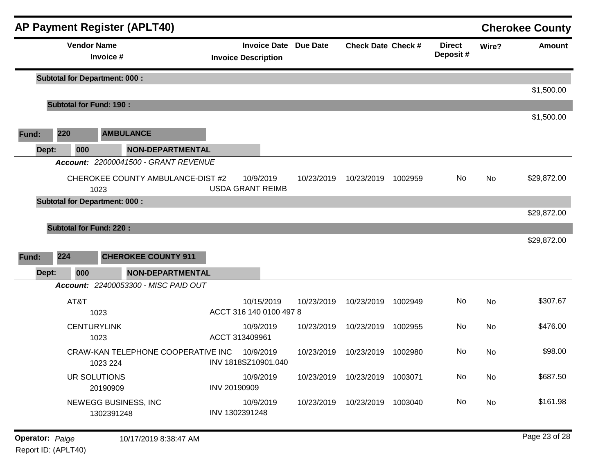|       |       |                                | <b>AP Payment Register (APLT40)</b>            |                         |                |                                                            |            |                           |         |                           |       | <b>Cherokee County</b> |
|-------|-------|--------------------------------|------------------------------------------------|-------------------------|----------------|------------------------------------------------------------|------------|---------------------------|---------|---------------------------|-------|------------------------|
|       |       | <b>Vendor Name</b>             | Invoice #                                      |                         |                | <b>Invoice Date Due Date</b><br><b>Invoice Description</b> |            | <b>Check Date Check #</b> |         | <b>Direct</b><br>Deposit# | Wire? | <b>Amount</b>          |
|       |       |                                | <b>Subtotal for Department: 000:</b>           |                         |                |                                                            |            |                           |         |                           |       |                        |
|       |       |                                |                                                |                         |                |                                                            |            |                           |         |                           |       | \$1,500.00             |
|       |       | <b>Subtotal for Fund: 190:</b> |                                                |                         |                |                                                            |            |                           |         |                           |       | \$1,500.00             |
| Fund: |       | 220                            | <b>AMBULANCE</b>                               |                         |                |                                                            |            |                           |         |                           |       |                        |
|       | Dept: | 000                            |                                                | <b>NON-DEPARTMENTAL</b> |                |                                                            |            |                           |         |                           |       |                        |
|       |       |                                | Account: 22000041500 - GRANT REVENUE           |                         |                |                                                            |            |                           |         |                           |       |                        |
|       |       |                                | CHEROKEE COUNTY AMBULANCE-DIST #2<br>1023      |                         |                | 10/9/2019<br><b>USDA GRANT REIMB</b>                       | 10/23/2019 | 10/23/2019                | 1002959 | No                        | No    | \$29,872.00            |
|       |       |                                | <b>Subtotal for Department: 000:</b>           |                         |                |                                                            |            |                           |         |                           |       |                        |
|       |       |                                |                                                |                         |                |                                                            |            |                           |         |                           |       | \$29,872.00            |
|       |       | <b>Subtotal for Fund: 220:</b> |                                                |                         |                |                                                            |            |                           |         |                           |       |                        |
|       |       |                                |                                                |                         |                |                                                            |            |                           |         |                           |       | \$29,872.00            |
| Fund: |       | 224                            | <b>CHEROKEE COUNTY 911</b>                     |                         |                |                                                            |            |                           |         |                           |       |                        |
|       | Dept: | 000                            |                                                | <b>NON-DEPARTMENTAL</b> |                |                                                            |            |                           |         |                           |       |                        |
|       |       |                                | Account: 22400053300 - MISC PAID OUT           |                         |                |                                                            |            |                           |         |                           |       |                        |
|       |       | AT&T                           | 1023                                           |                         |                | 10/15/2019<br>ACCT 316 140 0100 497 8                      | 10/23/2019 | 10/23/2019                | 1002949 | No                        | No    | \$307.67               |
|       |       | <b>CENTURYLINK</b>             | 1023                                           |                         | ACCT 313409961 | 10/9/2019                                                  | 10/23/2019 | 10/23/2019                | 1002955 | No                        | No    | \$476.00               |
|       |       |                                | CRAW-KAN TELEPHONE COOPERATIVE INC<br>1023 224 |                         |                | 10/9/2019<br>INV 1818SZ10901.040                           | 10/23/2019 | 10/23/2019                | 1002980 | No                        | No.   | \$98.00                |
|       |       | UR SOLUTIONS                   | 20190909                                       |                         | INV 20190909   | 10/9/2019                                                  | 10/23/2019 | 10/23/2019 1003071        |         | No                        | No    | \$687.50               |
|       |       |                                | NEWEGG BUSINESS, INC<br>1302391248             |                         | INV 1302391248 | 10/9/2019                                                  | 10/23/2019 | 10/23/2019 1003040        |         | No                        | No    | \$161.98               |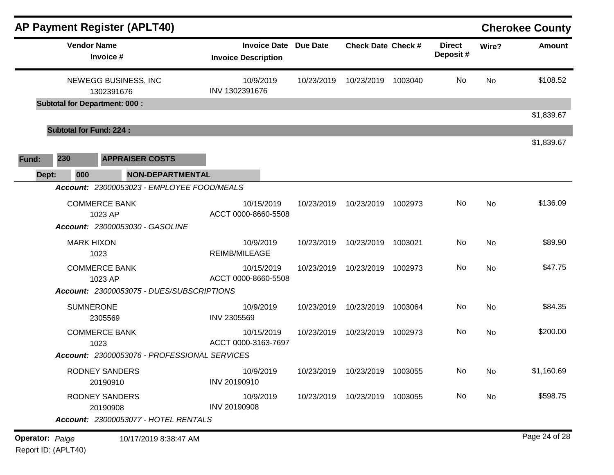|                        |     | <b>AP Payment Register (APLT40)</b>  |                                              |                                                            |            |                                 |         |                           |           | <b>Cherokee County</b> |
|------------------------|-----|--------------------------------------|----------------------------------------------|------------------------------------------------------------|------------|---------------------------------|---------|---------------------------|-----------|------------------------|
|                        |     | <b>Vendor Name</b><br>Invoice #      |                                              | <b>Invoice Date Due Date</b><br><b>Invoice Description</b> |            | <b>Check Date Check #</b>       |         | <b>Direct</b><br>Deposit# | Wire?     | <b>Amount</b>          |
|                        |     | NEWEGG BUSINESS, INC<br>1302391676   |                                              | 10/9/2019<br>INV 1302391676                                | 10/23/2019 | 10/23/2019                      | 1003040 | No                        | <b>No</b> | \$108.52               |
|                        |     | <b>Subtotal for Department: 000:</b> |                                              |                                                            |            |                                 |         |                           |           |                        |
|                        |     | <b>Subtotal for Fund: 224:</b>       |                                              |                                                            |            |                                 |         |                           |           | \$1,839.67             |
| Fund:                  | 230 | <b>APPRAISER COSTS</b>               |                                              |                                                            |            |                                 |         |                           |           | \$1,839.67             |
| Dept:                  | 000 |                                      | <b>NON-DEPARTMENTAL</b>                      |                                                            |            |                                 |         |                           |           |                        |
|                        |     |                                      | Account: 23000053023 - EMPLOYEE FOOD/MEALS   |                                                            |            |                                 |         |                           |           |                        |
|                        |     | <b>COMMERCE BANK</b><br>1023 AP      |                                              | 10/15/2019<br>ACCT 0000-8660-5508                          | 10/23/2019 | 10/23/2019                      | 1002973 | No                        | No        | \$136.09               |
|                        |     | Account: 23000053030 - GASOLINE      |                                              |                                                            |            |                                 |         |                           |           |                        |
|                        |     | <b>MARK HIXON</b><br>1023            |                                              | 10/9/2019<br><b>REIMB/MILEAGE</b>                          | 10/23/2019 | 10/23/2019                      | 1003021 | No                        | No        | \$89.90                |
|                        |     | <b>COMMERCE BANK</b><br>1023 AP      |                                              | 10/15/2019<br>ACCT 0000-8660-5508                          | 10/23/2019 | 10/23/2019                      | 1002973 | No                        | No        | \$47.75                |
|                        |     |                                      | Account: 23000053075 - DUES/SUBSCRIPTIONS    |                                                            |            |                                 |         |                           |           |                        |
|                        |     | <b>SUMNERONE</b><br>2305569          |                                              | 10/9/2019<br>INV 2305569                                   | 10/23/2019 | 10/23/2019                      | 1003064 | No                        | No        | \$84.35                |
|                        |     | <b>COMMERCE BANK</b><br>1023         |                                              | 10/15/2019<br>ACCT 0000-3163-7697                          | 10/23/2019 | 10/23/2019                      | 1002973 | No                        | No        | \$200.00               |
|                        |     |                                      | Account: 23000053076 - PROFESSIONAL SERVICES |                                                            |            |                                 |         |                           |           |                        |
|                        |     | <b>RODNEY SANDERS</b><br>20190910    |                                              | 10/9/2019<br>INV 20190910                                  |            | 10/23/2019  10/23/2019  1003055 |         | No                        | No.       | \$1,160.69             |
|                        |     | <b>RODNEY SANDERS</b><br>20190908    |                                              | 10/9/2019<br><b>INV 20190908</b>                           |            | 10/23/2019  10/23/2019  1003055 |         | No                        | No        | \$598.75               |
|                        |     |                                      | Account: 23000053077 - HOTEL RENTALS         |                                                            |            |                                 |         |                           |           |                        |
| <b>Operator: Paige</b> |     |                                      | 10/17/2019 8:38:47 AM                        |                                                            |            |                                 |         |                           |           | Page 24 of 28          |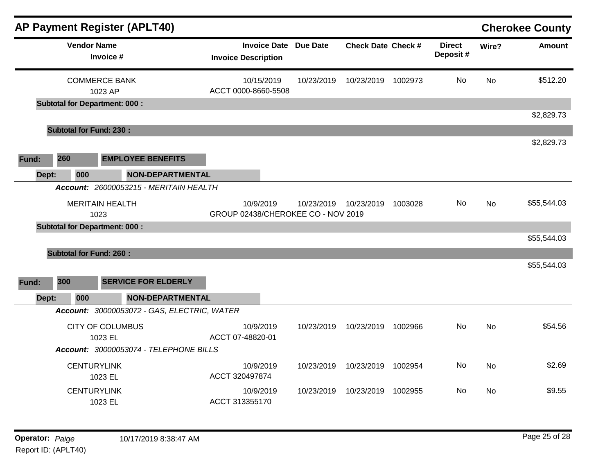| <b>AP Payment Register (APLT40)</b>               |                                                            |            |                           |         |                           |           | <b>Cherokee County</b> |
|---------------------------------------------------|------------------------------------------------------------|------------|---------------------------|---------|---------------------------|-----------|------------------------|
| <b>Vendor Name</b><br>Invoice #                   | <b>Invoice Date Due Date</b><br><b>Invoice Description</b> |            | <b>Check Date Check #</b> |         | <b>Direct</b><br>Deposit# | Wire?     | <b>Amount</b>          |
| <b>COMMERCE BANK</b><br>1023 AP                   | 10/15/2019<br>ACCT 0000-8660-5508                          | 10/23/2019 | 10/23/2019 1002973        |         | No.                       | <b>No</b> | \$512.20               |
| <b>Subtotal for Department: 000:</b>              |                                                            |            |                           |         |                           |           |                        |
| <b>Subtotal for Fund: 230:</b>                    |                                                            |            |                           |         |                           |           | \$2,829.73             |
|                                                   |                                                            |            |                           |         |                           |           | \$2,829.73             |
| 260<br><b>EMPLOYEE BENEFITS</b><br>Fund:          |                                                            |            |                           |         |                           |           |                        |
| 000<br><b>NON-DEPARTMENTAL</b><br>Dept:           |                                                            |            |                           |         |                           |           |                        |
| Account: 26000053215 - MERITAIN HEALTH            |                                                            |            |                           |         |                           |           |                        |
| <b>MERITAIN HEALTH</b><br>1023                    | 10/9/2019<br>GROUP 02438/CHEROKEE CO - NOV 2019            | 10/23/2019 | 10/23/2019                | 1003028 | No.                       | <b>No</b> | \$55,544.03            |
| <b>Subtotal for Department: 000:</b>              |                                                            |            |                           |         |                           |           |                        |
|                                                   |                                                            |            |                           |         |                           |           | \$55,544.03            |
| <b>Subtotal for Fund: 260:</b>                    |                                                            |            |                           |         |                           |           |                        |
|                                                   |                                                            |            |                           |         |                           |           | \$55,544.03            |
| 300<br><b>SERVICE FOR ELDERLY</b><br>Fund:        |                                                            |            |                           |         |                           |           |                        |
| 000<br><b>NON-DEPARTMENTAL</b><br>Dept:           |                                                            |            |                           |         |                           |           |                        |
| Account: 30000053072 - GAS, ELECTRIC, WATER       |                                                            |            |                           |         |                           |           |                        |
| <b>CITY OF COLUMBUS</b>                           | 10/9/2019                                                  | 10/23/2019 | 10/23/2019                | 1002966 | No                        | <b>No</b> | \$54.56                |
| 1023 EL<br>Account: 30000053074 - TELEPHONE BILLS | ACCT 07-48820-01                                           |            |                           |         |                           |           |                        |
| <b>CENTURYLINK</b>                                | 10/9/2019                                                  | 10/23/2019 | 10/23/2019 1002954        |         | No                        | <b>No</b> | \$2.69                 |
| 1023 EL                                           | ACCT 320497874                                             |            |                           |         |                           |           |                        |
| <b>CENTURYLINK</b>                                | 10/9/2019                                                  | 10/23/2019 | 10/23/2019                | 1002955 | No                        | No        | \$9.55                 |
| 1023 EL                                           | ACCT 313355170                                             |            |                           |         |                           |           |                        |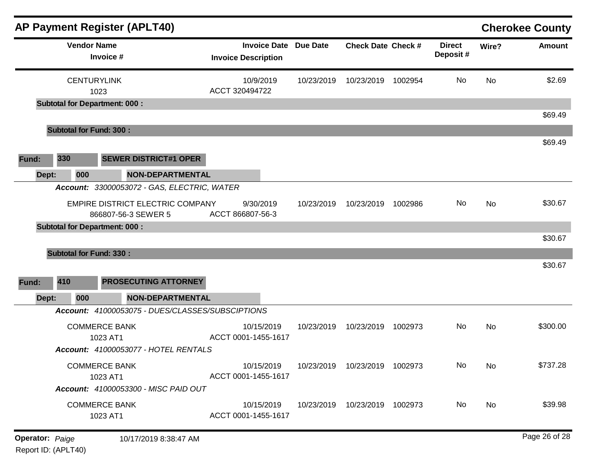|       |                                      |                                  | <b>AP Payment Register (APLT40)</b>                                                      |                                                            |            |                                 |         |                           |           | <b>Cherokee County</b> |
|-------|--------------------------------------|----------------------------------|------------------------------------------------------------------------------------------|------------------------------------------------------------|------------|---------------------------------|---------|---------------------------|-----------|------------------------|
|       |                                      | <b>Vendor Name</b><br>Invoice #  |                                                                                          | <b>Invoice Date Due Date</b><br><b>Invoice Description</b> |            | <b>Check Date Check #</b>       |         | <b>Direct</b><br>Deposit# | Wire?     | <b>Amount</b>          |
|       |                                      | <b>CENTURYLINK</b><br>1023       |                                                                                          | 10/9/2019<br>ACCT 320494722                                | 10/23/2019 | 10/23/2019                      | 1002954 | No                        | <b>No</b> | \$2.69                 |
|       | <b>Subtotal for Department: 000:</b> |                                  |                                                                                          |                                                            |            |                                 |         |                           |           | \$69.49                |
|       | <b>Subtotal for Fund: 300:</b>       |                                  |                                                                                          |                                                            |            |                                 |         |                           |           |                        |
| Fund: | 330                                  |                                  | <b>SEWER DISTRICT#1 OPER</b>                                                             |                                                            |            |                                 |         |                           |           | \$69.49                |
| Dept: | 000                                  |                                  | <b>NON-DEPARTMENTAL</b><br>Account: 33000053072 - GAS, ELECTRIC, WATER                   |                                                            |            |                                 |         |                           |           |                        |
|       | <b>Subtotal for Department: 000:</b> |                                  | EMPIRE DISTRICT ELECTRIC COMPANY<br>866807-56-3 SEWER 5                                  | 9/30/2019<br>ACCT 866807-56-3                              | 10/23/2019 | 10/23/2019                      | 1002986 | No.                       | No        | \$30.67                |
|       |                                      |                                  |                                                                                          |                                                            |            |                                 |         |                           |           | \$30.67                |
|       | <b>Subtotal for Fund: 330:</b>       |                                  |                                                                                          |                                                            |            |                                 |         |                           |           |                        |
| Fund: | 410                                  |                                  | PROSECUTING ATTORNEY                                                                     |                                                            |            |                                 |         |                           |           | \$30.67                |
| Dept: | 000                                  |                                  | <b>NON-DEPARTMENTAL</b>                                                                  |                                                            |            |                                 |         |                           |           |                        |
|       |                                      | <b>COMMERCE BANK</b><br>1023 AT1 | Account: 41000053075 - DUES/CLASSES/SUBSCIPTIONS<br>Account: 41000053077 - HOTEL RENTALS | 10/15/2019<br>ACCT 0001-1455-1617                          | 10/23/2019 | 10/23/2019                      | 1002973 | No.                       | No        | \$300.00               |
|       |                                      | <b>COMMERCE BANK</b><br>1023 AT1 | Account: 41000053300 - MISC PAID OUT                                                     | 10/15/2019<br>ACCT 0001-1455-1617                          |            | 10/23/2019  10/23/2019  1002973 |         | No.                       | No.       | \$737.28               |
|       |                                      | <b>COMMERCE BANK</b><br>1023 AT1 |                                                                                          | 10/15/2019<br>ACCT 0001-1455-1617                          |            | 10/23/2019  10/23/2019  1002973 |         | No                        | No        | \$39.98                |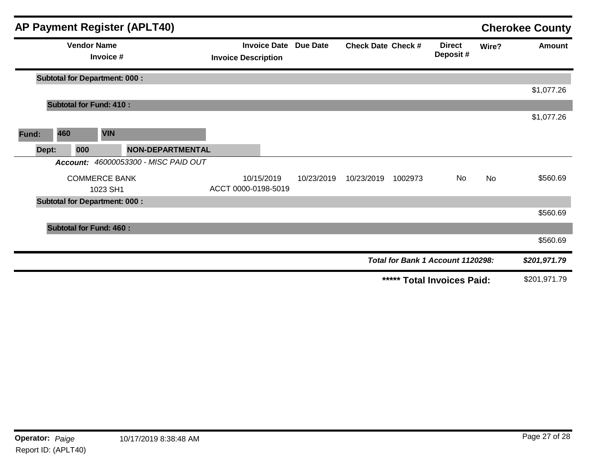|       |       |                    |                                      | <b>AP Payment Register (APLT40)</b>  |                            |                              |                           |         |                                   |       | <b>Cherokee County</b> |
|-------|-------|--------------------|--------------------------------------|--------------------------------------|----------------------------|------------------------------|---------------------------|---------|-----------------------------------|-------|------------------------|
|       |       | <b>Vendor Name</b> | Invoice #                            |                                      | <b>Invoice Description</b> | <b>Invoice Date Due Date</b> | <b>Check Date Check #</b> |         | <b>Direct</b><br>Deposit#         | Wire? | <b>Amount</b>          |
|       |       |                    | <b>Subtotal for Department: 000:</b> |                                      |                            |                              |                           |         |                                   |       |                        |
|       |       |                    |                                      |                                      |                            |                              |                           |         |                                   |       | \$1,077.26             |
|       |       |                    | <b>Subtotal for Fund: 410:</b>       |                                      |                            |                              |                           |         |                                   |       |                        |
|       |       |                    |                                      |                                      |                            |                              |                           |         |                                   |       | \$1,077.26             |
| Fund: | 460   |                    | <b>VIN</b>                           |                                      |                            |                              |                           |         |                                   |       |                        |
|       | Dept: | 000                |                                      | <b>NON-DEPARTMENTAL</b>              |                            |                              |                           |         |                                   |       |                        |
|       |       |                    |                                      | Account: 46000053300 - MISC PAID OUT |                            |                              |                           |         |                                   |       |                        |
|       |       |                    | <b>COMMERCE BANK</b>                 |                                      | 10/15/2019                 | 10/23/2019                   | 10/23/2019                | 1002973 | No                                | No    | \$560.69               |
|       |       |                    | 1023 SH1                             |                                      | ACCT 0000-0198-5019        |                              |                           |         |                                   |       |                        |
|       |       |                    | <b>Subtotal for Department: 000:</b> |                                      |                            |                              |                           |         |                                   |       |                        |
|       |       |                    |                                      |                                      |                            |                              |                           |         |                                   |       | \$560.69               |
|       |       |                    | <b>Subtotal for Fund: 460:</b>       |                                      |                            |                              |                           |         |                                   |       |                        |
|       |       |                    |                                      |                                      |                            |                              |                           |         |                                   |       | \$560.69               |
|       |       |                    |                                      |                                      |                            |                              |                           |         | Total for Bank 1 Account 1120298: |       | \$201,971.79           |
|       |       |                    |                                      |                                      |                            |                              |                           |         | ***** Total Invoices Paid:        |       | \$201,971.79           |